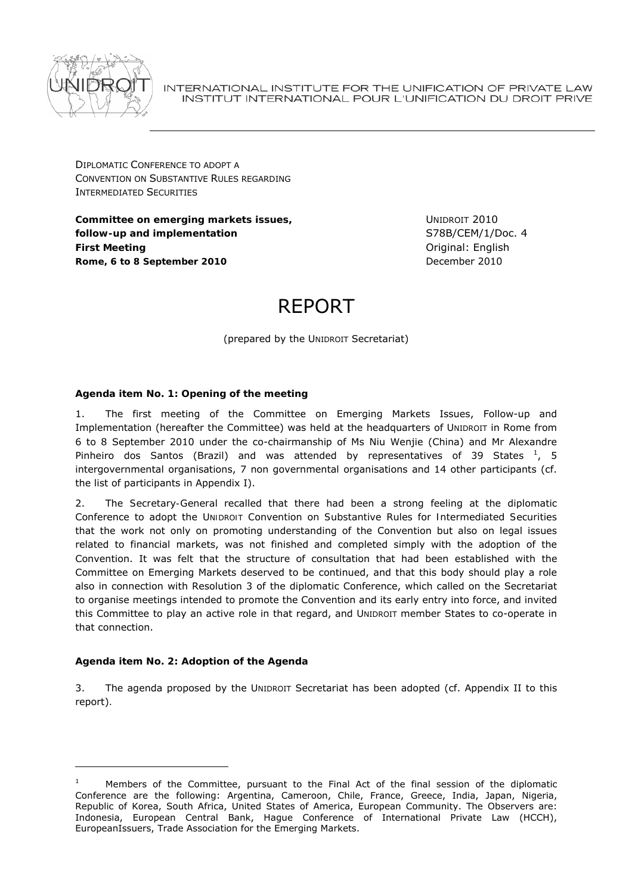

INTERNATIONAL INSTITUTE FOR THE UNIFICATION OF PRIVATE LAW INSTITUT INTERNATIONAL POUR L'UNIFICATION DU DROIT PRIVE

DIPLOMATIC CONFERENCE TO ADOPT A CONVENTION ON SUBSTANTIVE RULES REGARDING INTERMEDIATED SECURITIES

**Committee on emerging markets issues, follow-up and implementation** *First Meeting*  **Rome, 6 to 8 September 2010**

UNIDROIT 2010 S78B/CEM/1/Doc. 4 Original: English December 2010

# REPORT

(prepared by the UNIDROIT Secretariat)

# *Agenda item No. 1: Opening of the meeting*

1. The first meeting of the Committee on Emerging Markets Issues, Follow-up and Implementation (hereafter *the Committee*) was held at the headquarters of UNIDROIT in Rome from 6 to 8 September 2010 under the co-chairmanship of Ms Niu Wenjie (China) and Mr Alexandre Pinheiro dos Santos (Brazil) and was attended by representatives of 39 States  $^1$ , 5 intergovernmental organisations, 7 non governmental organisations and 14 other participants (cf. the list of participants in Appendix I).

2. The *Secretary-General* recalled that there had been a strong feeling at the diplomatic Conference to adopt the *UNIDROIT Convention on Substantive Rules for Intermediated Securities* that the work not only on promoting understanding of the Convention but also on legal issues related to financial markets, was not finished and completed simply with the adoption of the Convention. It was felt that the structure of consultation that had been established with the Committee on Emerging Markets deserved to be continued, and that this body should play a role also in connection with Resolution 3 of the diplomatic Conference, which called on the Secretariat to organise meetings intended to promote the Convention and its early entry into force, and invited this Committee to play an active role in that regard, and UNIDROIT member States to co-operate in that connection.

#### *Agenda item No. 2:* **Adoption of the Agenda**

1

3. The agenda proposed by the UNIDROIT Secretariat has been adopted (cf. Appendix II to this report)*.*

<sup>1</sup> Members of the Committee, pursuant to the Final Act of the final session of the diplomatic Conference are the following: Argentina, Cameroon, Chile, France, Greece, India, Japan, Nigeria, Republic of Korea, South Africa, United States of America, European Community. The Observers are: Indonesia, European Central Bank, Hague Conference of International Private Law (HCCH), EuropeanIssuers, Trade Association for the Emerging Markets.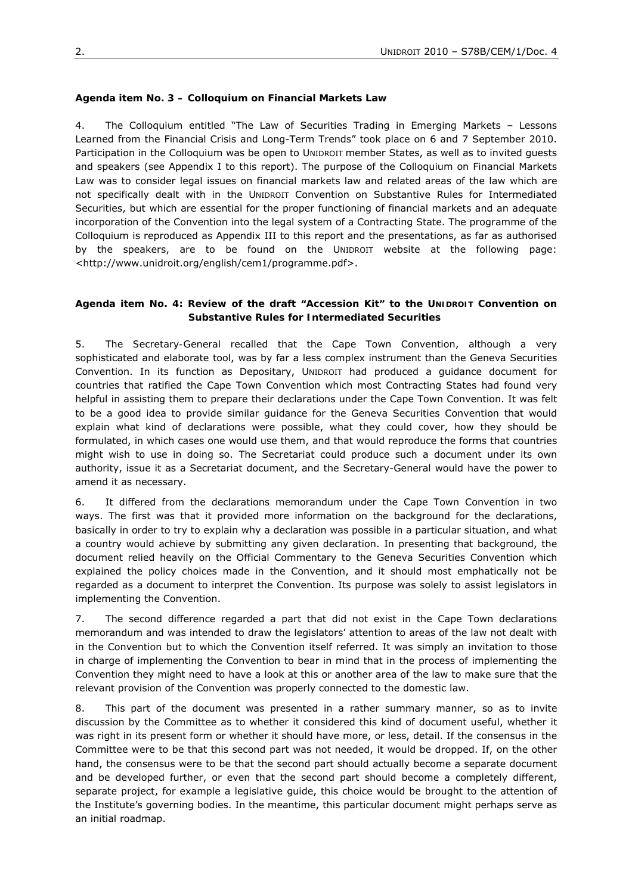#### *Agenda item No. 3 – Colloquium on Financial Markets Law*

4. The Colloquium entitled "The Law of Securities Trading in Emerging Markets – Lessons Learned from the Financial Crisis and Long-Term Trends" took place on 6 and 7 September 2010. Participation in the Colloquium was be open to UNIDROIT member States, as well as to invited guests and speakers (see Appendix I to this report). The purpose of the Colloquium on Financial Markets Law was to consider legal issues on financial markets law and related areas of the law which are not specifically dealt with in the UNIDROIT Convention on Substantive Rules for Intermediated Securities, but which are essential for the proper functioning of financial markets and an adequate incorporation of the Convention into the legal system of a Contracting State. The programme of the Colloquium is reproduced as Appendix III to this report and the presentations, as far as authorised by the speakers, are to be found on the UNIDROIT website at the following page: <http://www.unidroit.org/english/cem1/programme.pdf>.

#### *Agenda item No. 4: Review of the draft "Accession Kit" to the UNIDROIT Convention on Substantive Rules for Intermediated Securities*

5. The *Secretary-General* recalled that the Cape Town Convention, although a very sophisticated and elaborate tool, was by far a less complex instrument than the Geneva Securities Convention. In its function as Depositary, UNIDROIT had produced a guidance document for countries that ratified the Cape Town Convention which most Contracting States had found very helpful in assisting them to prepare their declarations under the Cape Town Convention. It was felt to be a good idea to provide similar guidance for the Geneva Securities Convention that would explain what kind of declarations were possible, what they could cover, how they should be formulated, in which cases one would use them, and that would reproduce the forms that countries might wish to use in doing so. The Secretariat could produce such a document under its own authority, issue it as a Secretariat document, and the Secretary-General would have the power to amend it as necessary.

6. It differed from the declarations memorandum under the Cape Town Convention in two ways. The first was that it provided more information on the background for the declarations, basically in order to try to explain why a declaration was possible in a particular situation, and what a country would achieve by submitting any given declaration. In presenting that background, the document relied heavily on the Official Commentary to the Geneva Securities Convention which explained the policy choices made in the Convention, and it should most emphatically not be regarded as a document to interpret the Convention. Its purpose was solely to assist legislators in implementing the Convention.

7. The second difference regarded a part that did not exist in the Cape Town declarations memorandum and was intended to draw the legislators' attention to areas of the law not dealt with in the Convention but to which the Convention itself referred. It was simply an invitation to those in charge of implementing the Convention to bear in mind that in the process of implementing the Convention they might need to have a look at this or another area of the law to make sure that the relevant provision of the Convention was properly connected to the domestic law.

8. This part of the document was presented in a rather summary manner, so as to invite discussion by the Committee as to whether it considered this kind of document useful, whether it was right in its present form or whether it should have more, or less, detail. If the consensus in the Committee were to be that this second part was not needed, it would be dropped. If, on the other hand, the consensus were to be that the second part should actually become a separate document and be developed further, or even that the second part should become a completely different, separate project, for example a legislative guide, this choice would be brought to the attention of the Institute's governing bodies. In the meantime, this particular document might perhaps serve as an initial roadmap.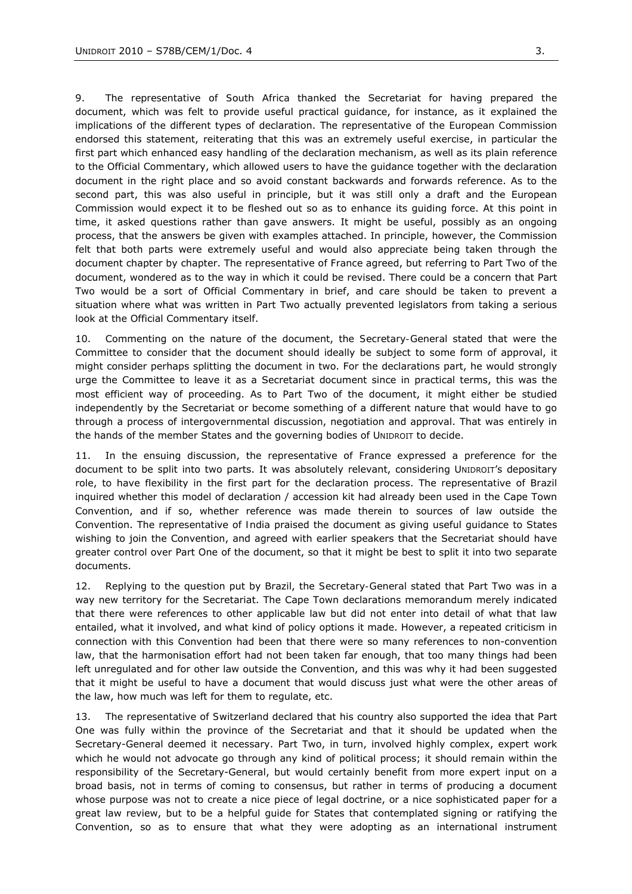9. The *representative of South Africa* thanked the Secretariat for having prepared the document, which was felt to provide useful practical guidance, for instance, as it explained the implications of the different types of declaration. The *representative of the European Commission* endorsed this statement, reiterating that this was an extremely useful exercise, in particular the first part which enhanced easy handling of the declaration mechanism, as well as its plain reference to the Official Commentary, which allowed users to have the guidance together with the declaration document in the right place and so avoid constant backwards and forwards reference. As to the second part, this was also useful in principle, but it was still only a draft and the European Commission would expect it to be fleshed out so as to enhance its guiding force. At this point in time, it asked questions rather than gave answers. It might be useful, possibly as an ongoing process, that the answers be given with examples attached. In principle, however, the Commission felt that both parts were extremely useful and would also appreciate being taken through the document chapter by chapter. The *representative of France* agreed, but referring to Part Two of the document, wondered as to the way in which it could be revised. There could be a concern that Part Two would be a sort of Official Commentary in brief, and care should be taken to prevent a situation where what was written in Part Two actually prevented legislators from taking a serious look at the Official Commentary itself.

10. Commenting on the nature of the document, the *Secretary-General* stated that were the Committee to consider that the document should ideally be subject to some form of approval, it might consider perhaps splitting the document in two. For the declarations part, he would strongly urge the Committee to leave it as a Secretariat document since in practical terms, this was the most efficient way of proceeding. As to Part Two of the document, it might either be studied independently by the Secretariat or become something of a different nature that would have to go through a process of intergovernmental discussion, negotiation and approval. That was entirely in the hands of the member States and the governing bodies of UNIDROIT to decide.

11. In the ensuing discussion, the *representative of France* expressed a preference for the document to be split into two parts. It was absolutely relevant, considering UNIDROIT's depositary role, to have flexibility in the first part for the declaration process. The *representative of Brazil* inquired whether this model of declaration / accession kit had already been used in the Cape Town Convention, and if so, whether reference was made therein to sources of law outside the Convention. The *representative of India* praised the document as giving useful guidance to States wishing to join the Convention, and agreed with earlier speakers that the Secretariat should have greater control over Part One of the document, so that it might be best to split it into two separate documents.

12. Replying to the question put by Brazil, the *Secretary-General* stated that Part Two was in a way new territory for the Secretariat. The Cape Town declarations memorandum merely indicated that there were references to other applicable law but did not enter into detail of what that law entailed, what it involved, and what kind of policy options it made. However, a repeated criticism in connection with this Convention had been that there were so many references to non-convention law, that the harmonisation effort had not been taken far enough, that too many things had been left unregulated and for other law outside the Convention, and this was why it had been suggested that it might be useful to have a document that would discuss just what were the other areas of the law, how much was left for them to regulate, etc.

13. The *representative of Switzerland* declared that his country also supported the idea that Part One was fully within the province of the Secretariat and that it should be updated when the Secretary-General deemed it necessary. Part Two, in turn, involved highly complex, expert work which he would not advocate go through any kind of political process; it should remain within the responsibility of the Secretary-General, but would certainly benefit from more expert input on a broad basis, not in terms of coming to consensus, but rather in terms of producing a document whose purpose was not to create a nice piece of legal doctrine, or a nice sophisticated paper for a great law review, but to be a helpful guide for States that contemplated signing or ratifying the Convention, so as to ensure that what they were adopting as an international instrument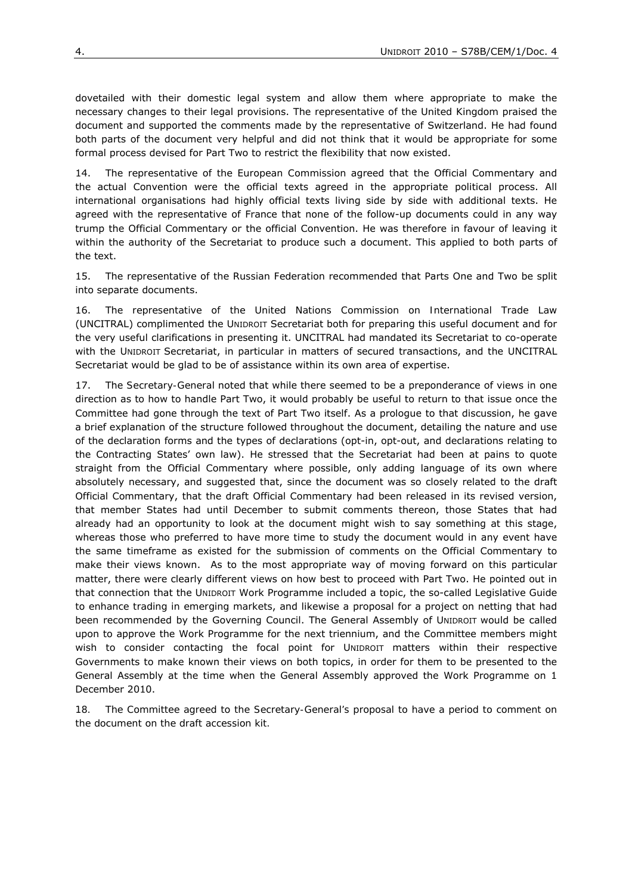dovetailed with their domestic legal system and allow them where appropriate to make the necessary changes to their legal provisions. The *representative of the United Kingdom* praised the document and supported the comments made by the representative of Switzerland. He had found both parts of the document very helpful and did not think that it would be appropriate for some formal process devised for Part Two to restrict the flexibility that now existed.

14. The *representative of the European Commission* agreed that the Official Commentary and the actual Convention were the official texts agreed in the appropriate political process. All international organisations had highly official texts living side by side with additional texts. He agreed with the representative of France that none of the follow-up documents could in any way trump the Official Commentary or the official Convention. He was therefore in favour of leaving it within the authority of the Secretariat to produce such a document. This applied to both parts of the text.

15. The *representative of the Russian Federation* recommended that Parts One and Two be split into separate documents.

16. The *representative of the United Nations Commission on International Trade Law* (UNCITRAL) complimented the UNIDROIT Secretariat both for preparing this useful document and for the very useful clarifications in presenting it. UNCITRAL had mandated its Secretariat to co-operate with the UNIDROIT Secretariat, in particular in matters of secured transactions, and the UNCITRAL Secretariat would be glad to be of assistance within its own area of expertise.

17. The *Secretary-General* noted that while there seemed to be a preponderance of views in one direction as to how to handle Part Two, it would probably be useful to return to that issue once the Committee had gone through the text of Part Two itself. As a prologue to that discussion, he gave a brief explanation of the structure followed throughout the document, detailing the nature and use of the declaration forms and the types of declarations (opt-in, opt-out, and declarations relating to the Contracting States' own law). He stressed that the Secretariat had been at pains to quote straight from the Official Commentary where possible, only adding language of its own where absolutely necessary, and suggested that, since the document was so closely related to the draft Official Commentary, that the draft Official Commentary had been released in its revised version, that member States had until December to submit comments thereon, those States that had already had an opportunity to look at the document might wish to say something at this stage, whereas those who preferred to have more time to study the document would in any event have the same timeframe as existed for the submission of comments on the Official Commentary to make their views known. As to the most appropriate way of moving forward on this particular matter, there were clearly different views on how best to proceed with Part Two. He pointed out in that connection that the UNIDROIT Work Programme included a topic, the so-called *Legislative Guide to enhance trading in emerging markets*, and likewise a proposal for a project on netting that had been recommended by the Governing Council. The General Assembly of UNIDROIT would be called upon to approve the Work Programme for the next triennium, and the Committee members might wish to consider contacting the focal point for UNIDROIT matters within their respective Governments to make known their views on both topics, in order for them to be presented to the General Assembly at the time when the General Assembly approved the Work Programme on 1 December 2010.

*18. The Committee agreed to the Secretary-General's proposal to have a period to comment on the document on the draft accession kit.*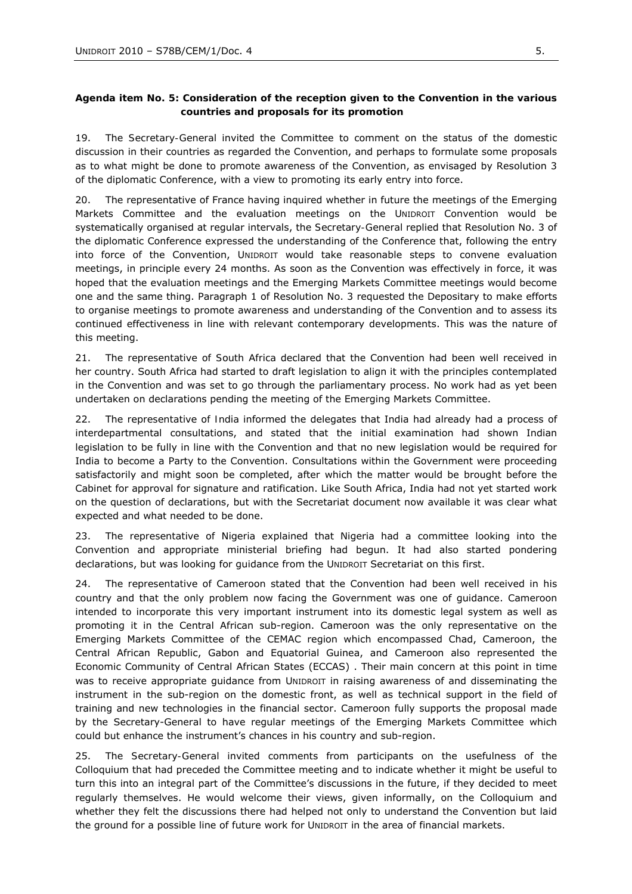### *Agenda item No. 5: Consideration of the reception given to the Convention in the various countries and proposals for its promotion*

19. The *Secretary-General* invited the Committee to comment on the status of the domestic discussion in their countries as regarded the Convention, and perhaps to formulate some proposals as to what might be done to promote awareness of the Convention, as envisaged by Resolution 3 of the diplomatic Conference, with a view to promoting its early entry into force.

20. The representative of France having inquired whether in future the meetings of the Emerging Markets Committee and the evaluation meetings on the UNIDROIT Convention would be systematically organised at regular intervals, the *Secretary-General* replied that Resolution No. 3 of the diplomatic Conference expressed the understanding of the Conference that, following the entry into force of the Convention, UNIDROIT would take reasonable steps to convene evaluation meetings, in principle every 24 months. As soon as the Convention was effectively in force, it was hoped that the evaluation meetings and the Emerging Markets Committee meetings would become one and the same thing. Paragraph 1 of Resolution No. 3 requested the Depositary to make efforts to organise meetings to promote awareness and understanding of the Convention and to assess its continued effectiveness in line with relevant contemporary developments. This was the nature of this meeting.

21. The *representative of South Africa* declared that the Convention had been well received in her country. South Africa had started to draft legislation to align it with the principles contemplated in the Convention and was set to go through the parliamentary process. No work had as yet been undertaken on declarations pending the meeting of the Emerging Markets Committee.

22. The *representative of India* informed the delegates that India had already had a process of interdepartmental consultations, and stated that the initial examination had shown Indian legislation to be fully in line with the Convention and that no new legislation would be required for India to become a Party to the Convention. Consultations within the Government were proceeding satisfactorily and might soon be completed, after which the matter would be brought before the Cabinet for approval for signature and ratification. Like South Africa, India had not yet started work on the question of declarations, but with the Secretariat document now available it was clear what expected and what needed to be done.

23. The *representative of Nigeria* explained that Nigeria had a committee looking into the Convention and appropriate ministerial briefing had begun. It had also started pondering declarations, but was looking for guidance from the UNIDROIT Secretariat on this first.

24. The *representative of Cameroon* stated that the Convention had been well received in his country and that the only problem now facing the Government was one of guidance. Cameroon intended to incorporate this very important instrument into its domestic legal system as well as promoting it in the Central African sub-region. Cameroon was the only representative on the Emerging Markets Committee of the CEMAC region which encompassed Chad, Cameroon, the Central African Republic, Gabon and Equatorial Guinea, and Cameroon also represented the Economic Community of Central African States (ECCAS) . Their main concern at this point in time was to receive appropriate guidance from UNIDROIT in raising awareness of and disseminating the instrument in the sub-region on the domestic front, as well as technical support in the field of training and new technologies in the financial sector. Cameroon fully supports the proposal made by the Secretary-General to have regular meetings of the Emerging Markets Committee which could but enhance the instrument's chances in his country and sub-region.

25. The *Secretary-General* invited comments from participants on the usefulness of the Colloquium that had preceded the Committee meeting and to indicate whether it might be useful to turn this into an integral part of the Committee's discussions in the future, if they decided to meet regularly themselves. He would welcome their views, given informally, on the Colloquium and whether they felt the discussions there had helped not only to understand the Convention but laid the ground for a possible line of future work for UNIDROIT in the area of financial markets.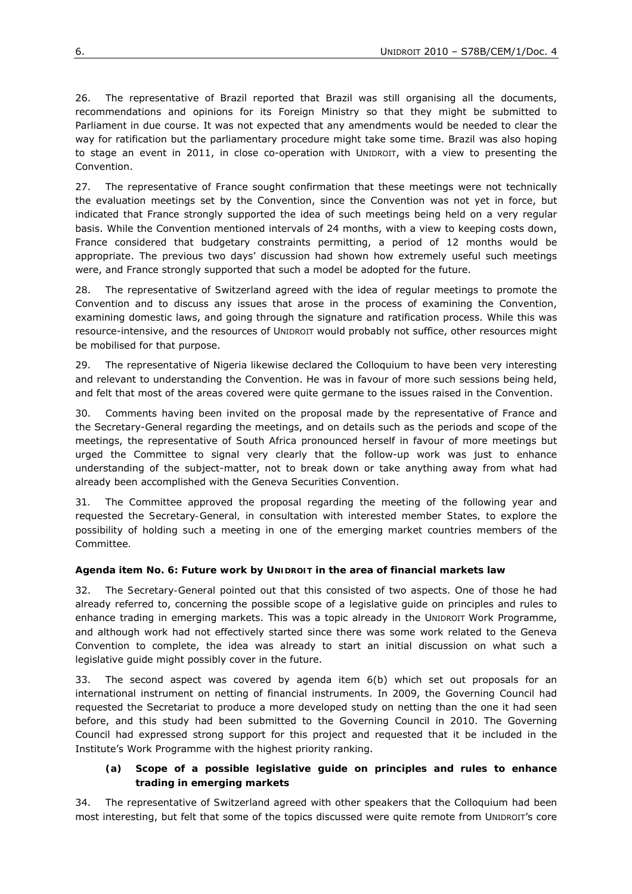26. The *representative of Brazil* reported that Brazil was still organising all the documents, recommendations and opinions for its Foreign Ministry so that they might be submitted to Parliament in due course. It was not expected that any amendments would be needed to clear the way for ratification but the parliamentary procedure might take some time. Brazil was also hoping to stage an event in 2011, in close co-operation with UNIDROIT, with a view to presenting the Convention.

27. The *representative of France* sought confirmation that these meetings were not technically the evaluation meetings set by the Convention, since the Convention was not yet in force, but indicated that France strongly supported the idea of such meetings being held on a very regular basis. While the Convention mentioned intervals of 24 months, with a view to keeping costs down, France considered that budgetary constraints permitting, a period of 12 months would be appropriate. The previous two days' discussion had shown how extremely useful such meetings were, and France strongly supported that such a model be adopted for the future.

28. The *representative of Switzerland* agreed with the idea of regular meetings to promote the Convention and to discuss any issues that arose in the process of examining the Convention, examining domestic laws, and going through the signature and ratification process. While this was resource-intensive, and the resources of UNIDROIT would probably not suffice, other resources might be mobilised for that purpose.

29. The *representative of Nigeria* likewise declared the Colloquium to have been very interesting and relevant to understanding the Convention. He was in favour of more such sessions being held, and felt that most of the areas covered were quite germane to the issues raised in the Convention.

30. Comments having been invited on the proposal made by the representative of France and the Secretary-General regarding the meetings, and on details such as the periods and scope of the meetings, the *representative of South Africa* pronounced herself in favour of more meetings but urged the Committee to signal very clearly that the follow-up work was just to enhance understanding of the subject-matter, not to break down or take anything away from what had already been accomplished with the Geneva Securities Convention.

*31. The Committee approved the proposal regarding the meeting of the following year and requested the Secretary-General, in consultation with interested member States, to explore the possibility of holding such a meeting in one of the emerging market countries members of the Committee.* 

#### *Agenda item No. 6: Future work by UNIDROIT in the area of financial markets law*

32. The *Secretary-General* pointed out that this consisted of two aspects. One of those he had already referred to, concerning the possible scope of a legislative guide on principles and rules to enhance trading in emerging markets. This was a topic already in the UNIDROIT Work Programme, and although work had not effectively started since there was some work related to the Geneva Convention to complete, the idea was already to start an initial discussion on what such a legislative guide might possibly cover in the future.

33. The second aspect was covered by agenda item 6(b) which set out proposals for an international instrument on netting of financial instruments. In 2009, the Governing Council had requested the Secretariat to produce a more developed study on netting than the one it had seen before, and this study had been submitted to the Governing Council in 2010. The Governing Council had expressed strong support for this project and requested that it be included in the Institute's Work Programme with the highest priority ranking.

# **(a) Scope of a possible legislative guide on principles and rules to enhance trading in emerging markets**

34. The *representative of Switzerland* agreed with other speakers that the Colloquium had been most interesting, but felt that some of the topics discussed were quite remote from UNIDROIT's core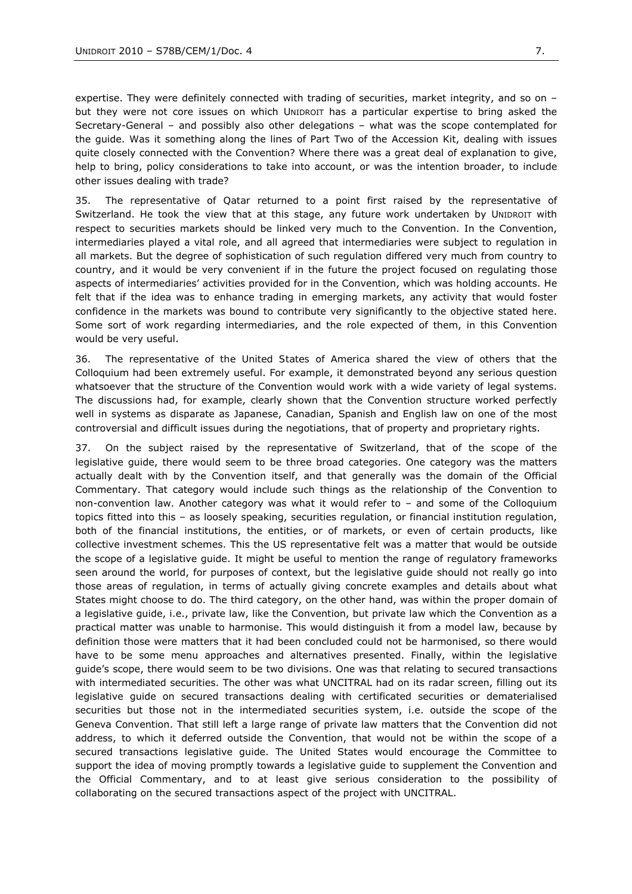expertise. They were definitely connected with trading of securities, market integrity, and so on but they were not core issues on which UNIDROIT has a particular expertise to bring asked the Secretary-General – and possibly also other delegations – what was the scope contemplated for the guide. Was it something along the lines of Part Two of the Accession Kit, dealing with issues quite closely connected with the Convention? Where there was a great deal of explanation to give, help to bring, policy considerations to take into account, or was the intention broader, to include other issues dealing with trade?

35. The *representative of Qatar* returned to a point first raised by the representative of Switzerland. He took the view that at this stage, any future work undertaken by UNIDROIT with respect to securities markets should be linked very much to the Convention. In the Convention, intermediaries played a vital role, and all agreed that intermediaries were subject to regulation in all markets. But the degree of sophistication of such regulation differed very much from country to country, and it would be very convenient if in the future the project focused on regulating those aspects of intermediaries' activities provided for in the Convention, which was holding accounts. He felt that if the idea was to *enhance* trading in emerging markets, any activity that would foster confidence in the markets was bound to contribute very significantly to the objective stated here. Some sort of work regarding intermediaries, and the role expected of them, in this Convention would be very useful.

36. The *representative of the United States of America* shared the view of others that the Colloquium had been extremely useful. For example, it demonstrated beyond any serious question whatsoever that the structure of the Convention would work with a wide variety of legal systems. The discussions had, for example, clearly shown that the Convention structure worked perfectly well in systems as disparate as Japanese, Canadian, Spanish and English law on one of the most controversial and difficult issues during the negotiations, that of property and proprietary rights.

37. On the subject raised by the representative of Switzerland, that of the *scope* of the legislative guide, there would seem to be three broad categories. One category was the matters actually dealt with by the Convention itself, and that generally was the domain of the Official Commentary. That category would include such things as the relationship of the Convention to non-convention law. Another category was what it would refer to – and some of the Colloquium topics fitted into this – as loosely speaking, securities regulation, or financial institution regulation, both of the financial institutions, the entities, or of markets, or even of certain products, like collective investment schemes. This the US representative felt was a matter that would be outside the scope of a legislative guide. It might be useful to mention the range of regulatory frameworks seen around the world, for purposes of context, but the legislative guide should not really go into those areas of regulation, in terms of actually giving concrete examples and details about what States might choose to do. The third category, on the other hand, was within the proper domain of a legislative guide, i.e., private law, like the Convention, but private law which the Convention as a practical matter was unable to harmonise. This would distinguish it from a model law, because by definition those were matters that it had been concluded could not be harmonised, so there would have to be some menu approaches and alternatives presented. Finally, within the legislative guide's scope, there would seem to be two divisions. One was that relating to secured transactions with intermediated securities. The other was what UNCITRAL had on its radar screen, filling out its legislative guide on secured transactions dealing with certificated securities or dematerialised securities but those *not* in the intermediated securities system, i.e. outside the scope of the Geneva Convention. That still left a large range of private law matters that the Convention did not address, to which it deferred outside the Convention, that would not be within the scope of a secured transactions legislative guide. The United States would encourage the Committee to support the idea of moving promptly towards a legislative guide to supplement the Convention and the Official Commentary, and to at least give serious consideration to the possibility of collaborating on the secured transactions aspect of the project with UNCITRAL.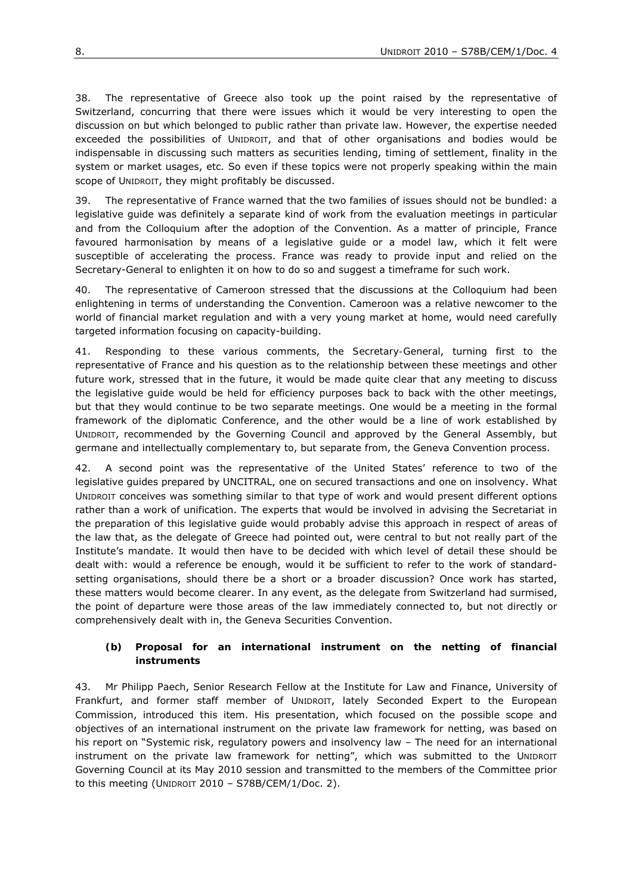38. The *representative of Greece* also took up the point raised by the representative of Switzerland, concurring that there were issues which it would be very interesting to open the discussion on but which belonged to public rather than private law. However, the expertise needed exceeded the possibilities of UNIDROIT, and that of other organisations and bodies would be indispensable in discussing such matters as securities lending, timing of settlement, finality in the system or market usages, etc. So even if these topics were not properly speaking within the main scope of UNIDROIT, they might profitably be discussed.

39. The *representative of France* warned that the two families of issues should not be bundled: a legislative guide was definitely a separate kind of work from the evaluation meetings in particular and from the Colloquium after the adoption of the Convention. As a matter of principle, France favoured harmonisation by means of a legislative guide or a model law, which it felt were susceptible of accelerating the process. France was ready to provide input and relied on the Secretary-General to enlighten it on how to do so and suggest a timeframe for such work.

40. The *representative of Cameroon* stressed that the discussions at the Colloquium had been enlightening in terms of understanding the Convention. Cameroon was a relative newcomer to the world of financial market regulation and with a very young market at home, would need carefully targeted information focusing on capacity-building.

41. Responding to these various comments, the *Secretary-General*, turning first to the representative of France and his question as to the relationship between these meetings and other future work, stressed that in the future, it would be made quite clear that any meeting to discuss the legislative guide would be held for efficiency purposes back to back with the other meetings, but that they would continue to be two separate meetings. One would be a meeting in the formal framework of the diplomatic Conference, and the other would be a line of work established by UNIDROIT, recommended by the Governing Council and approved by the General Assembly, but germane and intellectually complementary to, but separate from, the Geneva Convention process.

42. A second point was the representative of the United States' reference to two of the legislative guides prepared by UNCITRAL, one on secured transactions and one on insolvency. What UNIDROIT conceives was something similar to that type of work and would present different options rather than a work of unification. The experts that would be involved in advising the Secretariat in the preparation of this legislative guide would probably advise this approach in respect of areas of the law that, as the delegate of Greece had pointed out, were central to but not really part of the Institute's mandate. It would then have to be decided with which level of detail these should be dealt with: would a reference be enough, would it be sufficient to refer to the work of standardsetting organisations, should there be a short or a broader discussion? Once work has started, these matters would become clearer. In any event, as the delegate from Switzerland had surmised, the point of departure were those areas of the law immediately connected to, but not directly or comprehensively dealt with in, the Geneva Securities Convention.

#### **(b) Proposal for an international instrument on the netting of financial instruments**

43. Mr *Philipp Paech*, Senior Research Fellow at the Institute for Law and Finance, University of Frankfurt, and former staff member of UNIDROIT, lately Seconded Expert to the European Commission, introduced this item. His presentation, which focused on the possible scope and objectives of an international instrument on the private law framework for netting, was based on his report on "Systemic risk, regulatory powers and insolvency law - The need for an international instrument on the private law framework for netting", which was submitted to the UNIDROIT Governing Council at its May 2010 session and transmitted to the members of the Committee prior to this meeting (UNIDROIT 2010 – S78B/CEM/1/Doc. 2).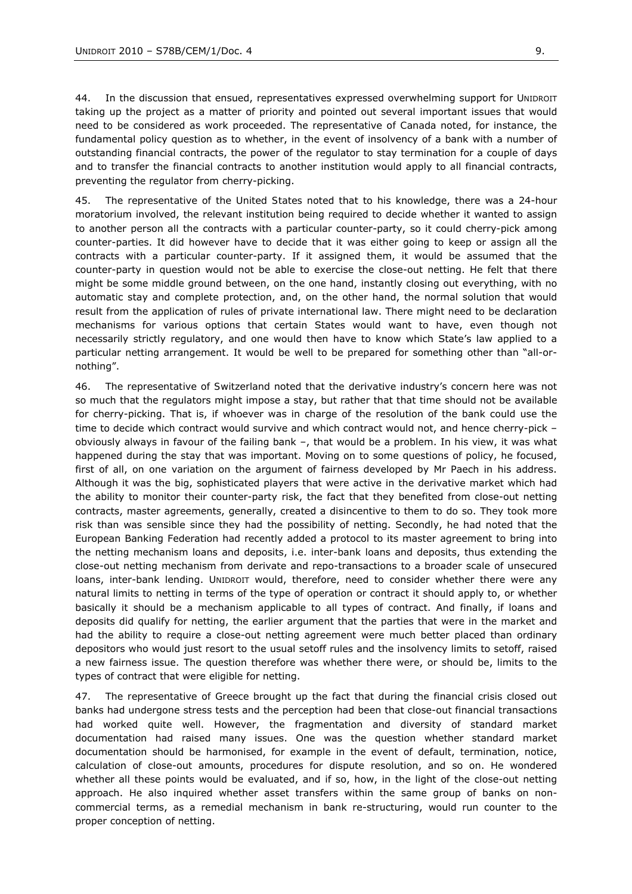44. In the discussion that ensued, representatives expressed overwhelming support for UNIDROIT taking up the project as a matter of priority and pointed out several important issues that would need to be considered as work proceeded. The *representative of Canada* noted, for instance, the fundamental policy question as to whether, in the event of insolvency of a bank with a number of outstanding financial contracts, the power of the regulator to stay termination for a couple of days and to transfer the financial contracts to another institution would apply to all financial contracts, preventing the regulator from cherry-picking.

45. The *representative of the United States* noted that to his knowledge, there was a 24-hour moratorium involved, the relevant institution being required to decide whether it wanted to assign to another person all the contracts with a particular counter-party, so it could cherry-pick among counter-parties. It did however have to decide that it was either going to keep or assign all the contracts with a particular counter-party. If it assigned them, it would be assumed that the counter-party in question would not be able to exercise the close-out netting. He felt that there might be some middle ground between, on the one hand, instantly closing out everything, with no automatic stay and complete protection, and, on the other hand, the normal solution that would result from the application of rules of private international law. There might need to be declaration mechanisms for various options that certain States would want to have, even though not necessarily strictly regulatory, and one would then have to know which State's law applied to a particular netting arrangement. It would be well to be prepared for something other than "all-ornothing".

46. The *representative of Switzerland* noted that the derivative industry's concern here was not so much that the regulators might impose a stay, but rather that that time should not be available for cherry-picking. That is, if whoever was in charge of the resolution of the bank could use the time to decide which contract would survive and which contract would not, and hence cherry-pick – obviously always in favour of the failing bank –, that would be a problem. In his view, it was what happened during the stay that was important. Moving on to some questions of policy, he focused, first of all, on one variation on the argument of fairness developed by Mr Paech in his address. Although it was the big, sophisticated players that were active in the derivative market which had the ability to monitor their counter-party risk, the fact that they benefited from close-out netting contracts, master agreements, generally, created a disincentive to them to do so. They took more risk than was sensible since they had the possibility of netting. Secondly, he had noted that the European Banking Federation had recently added a protocol to its master agreement to bring into the netting mechanism loans and deposits, i.e. inter-bank loans and deposits, thus extending the close-out netting mechanism from derivate and repo-transactions to a broader scale of unsecured loans, inter-bank lending. UNIDROIT would, therefore, need to consider whether there were any natural limits to netting in terms of the type of operation or contract it should apply to, or whether basically it should be a mechanism applicable to all types of contract. And finally, if loans and deposits did qualify for netting, the earlier argument that the parties that were in the market and had the ability to require a close-out netting agreement were much better placed than ordinary depositors who would just resort to the usual setoff rules and the insolvency limits to setoff, raised a new fairness issue. The question therefore was whether there were, or should be, limits to the types of contract that were eligible for netting.

47. The *representative of Greece* brought up the fact that during the financial crisis closed out banks had undergone stress tests and the perception had been that close-out financial transactions had worked quite well. However, the fragmentation and diversity of standard market documentation had raised many issues. One was the question whether standard market documentation should be harmonised, for example in the event of default, termination, notice, calculation of close-out amounts, procedures for dispute resolution, and so on. He wondered whether all these points would be evaluated, and if so, how, in the light of the close-out netting approach. He also inquired whether asset transfers within the same group of banks on noncommercial terms, as a remedial mechanism in bank re-structuring, would run counter to the proper conception of netting.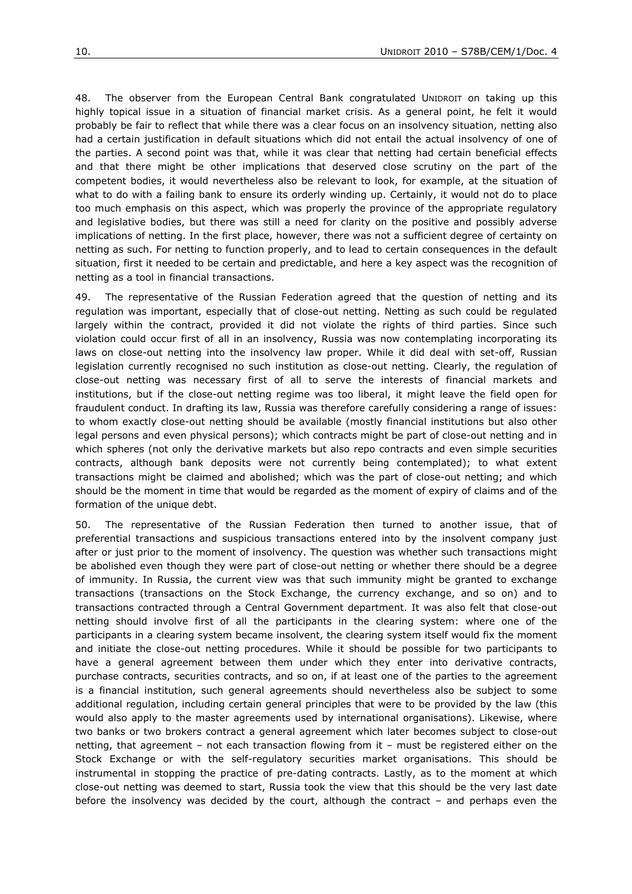48. The *observer from the European Central Bank* congratulated UNIDROIT on taking up this highly topical issue in a situation of financial market crisis. As a general point, he felt it would probably be fair to reflect that while there was a clear focus on an insolvency situation, netting also had a certain justification in default situations which did not entail the actual insolvency of one of the parties. A second point was that, while it was clear that netting had certain beneficial effects and that there might be other implications that deserved close scrutiny on the part of the competent bodies, it would nevertheless also be relevant to look, for example, at the situation of what to do with a failing bank to ensure its orderly winding up. Certainly, it would not do to place too much emphasis on this aspect, which was properly the province of the appropriate regulatory and legislative bodies, but there was still a need for clarity on the positive and possibly adverse implications of netting. In the first place, however, there was not a sufficient degree of certainty on netting as such. For netting to function properly, and to lead to certain consequences in the default situation, first it needed to be certain and predictable, and here a key aspect was the recognition of netting as a tool in financial transactions.

49. The *representative of the Russian Federation* agreed that the question of netting and its regulation was important, especially that of close-out netting. Netting as such could be regulated largely within the contract, provided it did not violate the rights of third parties. Since such violation could occur first of all in an insolvency, Russia was now contemplating incorporating its laws on close-out netting into the insolvency law proper. While it did deal with set-off, Russian legislation currently recognised no such institution as close-out netting. Clearly, the regulation of close-out netting was necessary first of all to serve the interests of financial markets and institutions, but if the close-out netting regime was too liberal, it might leave the field open for fraudulent conduct. In drafting its law, Russia was therefore carefully considering a range of issues: to whom exactly close-out netting should be available (mostly financial institutions but also other legal persons and even physical persons); which contracts might be part of close-out netting and in which spheres (not only the derivative markets but also repo contracts and even simple securities contracts, although bank deposits were not currently being contemplated); to what extent transactions might be claimed and abolished; which was the part of close-out netting; and which should be the moment in time that would be regarded as the moment of expiry of claims and of the formation of the unique debt.

50. The representative of the Russian Federation then turned to another issue, that of preferential transactions and suspicious transactions entered into by the insolvent company just after or just prior to the moment of insolvency. The question was whether such transactions might be abolished even though they were part of close-out netting or whether there should be a degree of immunity. In Russia, the current view was that such immunity might be granted to exchange transactions (transactions on the Stock Exchange, the currency exchange, and so on) and to transactions contracted through a Central Government department. It was also felt that close-out netting should involve first of all the participants in the clearing system: where one of the participants in a clearing system became insolvent, the clearing system itself would fix the moment and initiate the close-out netting procedures. While it should be possible for two participants to have a general agreement between them under which they enter into derivative contracts, purchase contracts, securities contracts, and so on, if at least one of the parties to the agreement is a financial institution, such general agreements should nevertheless also be subject to some additional regulation, including certain general principles that were to be provided by the law (this would also apply to the master agreements used by international organisations). Likewise, where two banks or two brokers contract a general agreement which later becomes subject to close-out netting, that agreement – not each transaction flowing from it – must be registered either on the Stock Exchange or with the self-regulatory securities market organisations. This should be instrumental in stopping the practice of pre-dating contracts. Lastly, as to the moment at which close-out netting was deemed to start, Russia took the view that this should be the very last date before the insolvency was decided by the court, although the contract – and perhaps even the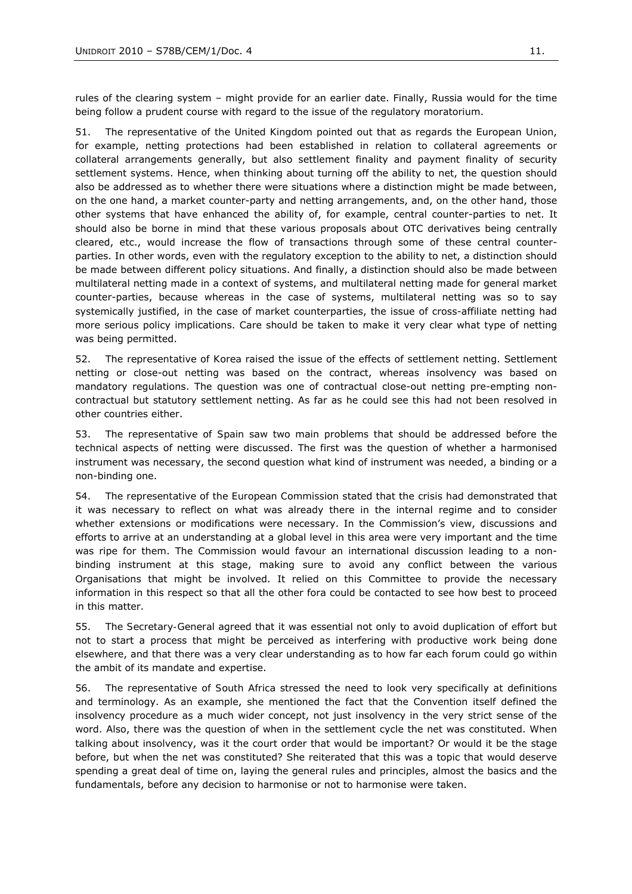rules of the clearing system – might provide for an earlier date. Finally, Russia would for the time being follow a prudent course with regard to the issue of the regulatory moratorium.

51. The *representative of the United Kingdom* pointed out that as regards the European Union, for example, netting protections had been established in relation to collateral agreements or collateral arrangements generally, but also settlement finality and payment finality of security settlement systems. Hence, when thinking about turning off the ability to net, the question should also be addressed as to whether there were situations where a distinction might be made between, on the one hand, a market counter-party and netting arrangements, and, on the other hand, those other systems that have enhanced the ability of, for example, central counter-parties to net. It should also be borne in mind that these various proposals about OTC derivatives being centrally cleared, etc., would increase the flow of transactions through some of these central counterparties. In other words, even with the regulatory exception to the ability to net, a distinction should be made between different policy situations. And finally, a distinction should also be made between multilateral netting made in a context of systems, and multilateral netting made for general market counter-parties, because whereas in the case of systems, multilateral netting was so to say systemically justified, in the case of market counterparties, the issue of cross-affiliate netting had more serious policy implications. Care should be taken to make it very clear what type of netting was being permitted.

52. The *representative of Korea* raised the issue of the effects of settlement netting. Settlement netting or close-out netting was based on the contract, whereas insolvency was based on mandatory regulations. The question was one of contractual close-out netting pre-empting noncontractual but statutory settlement netting. As far as he could see this had not been resolved in other countries either.

53. The *representative of Spain* saw two main problems that should be addressed before the technical aspects of netting were discussed. The first was the question of whether a harmonised instrument was necessary, the second question what kind of instrument was needed, a binding or a non-binding one.

54. The *representative of the European Commission* stated that the crisis had demonstrated that it was necessary to reflect on what was already there in the internal regime and to consider whether extensions or modifications were necessary. In the Commission's view, discussions and efforts to arrive at an understanding at a global level in this area were very important and the time was ripe for them. The Commission would favour an international discussion leading to a nonbinding instrument at this stage, making sure to avoid any conflict between the various Organisations that might be involved. It relied on this Committee to provide the necessary information in this respect so that all the other fora could be contacted to see how best to proceed in this matter.

55. The *Secretary-General* agreed that it was essential not only to avoid duplication of effort but not to start a process that might be perceived as interfering with productive work being done elsewhere, and that there was a very clear understanding as to how far each forum could go within the ambit of its mandate and expertise.

56. The *representative of South Africa* stressed the need to look very specifically at definitions and terminology. As an example, she mentioned the fact that the Convention itself defined the insolvency procedure as a much wider concept, not just insolvency in the very strict sense of the word. Also, there was the question of when in the settlement cycle the net was constituted. When talking about insolvency, was it the court order that would be important? Or would it be the stage before, but when the net was constituted? She reiterated that this was a topic that would deserve spending a great deal of time on, laying the general rules and principles, almost the basics and the fundamentals, before any decision to harmonise or not to harmonise were taken.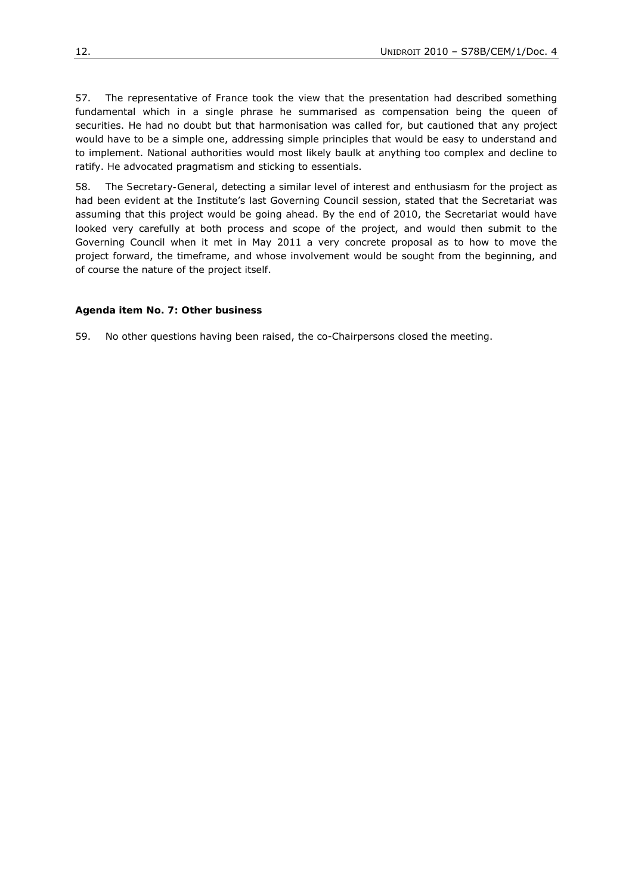57. The *representative of France* took the view that the presentation had described something fundamental which in a single phrase he summarised as compensation being the queen of securities. He had no doubt but that harmonisation was called for, but cautioned that any project would have to be a simple one, addressing simple principles that would be easy to understand and to implement. National authorities would most likely baulk at anything too complex and decline to ratify. He advocated pragmatism and sticking to essentials.

58. The *Secretary-General*, detecting a similar level of interest and enthusiasm for the project as had been evident at the Institute's last Governing Council session, stated that the Secretariat was assuming that this project would be going ahead. By the end of 2010, the Secretariat would have looked very carefully at both process and scope of the project, and would then submit to the Governing Council when it met in May 2011 a very concrete proposal as to how to move the project forward, the timeframe, and whose involvement would be sought from the beginning, and of course the nature of the project itself.

#### *Agenda item No. 7: Other business*

59. No other questions having been raised, the co-Chairpersons closed the meeting.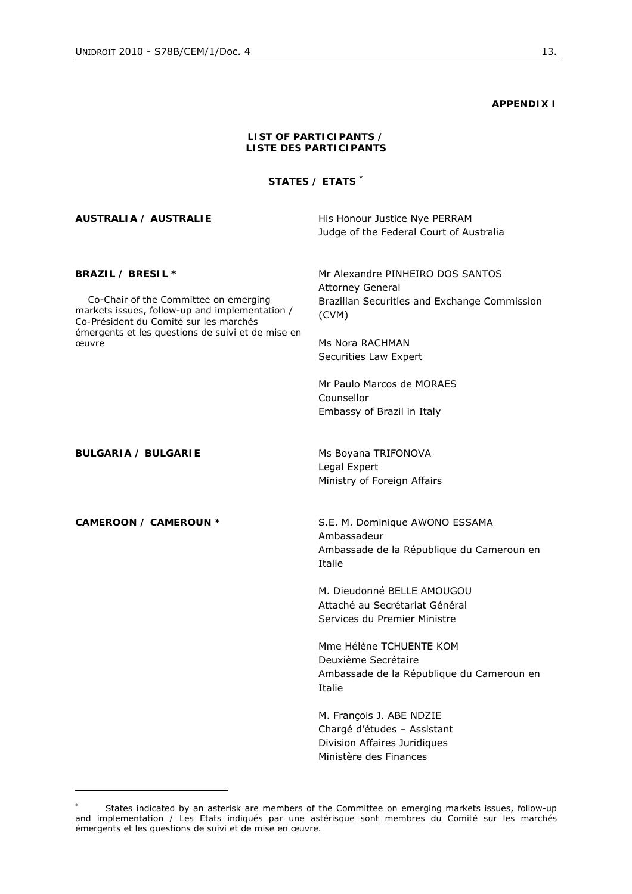1

**APPENDIX I** 

| LIST OF PARTICIPANTS /<br><b>LISTE DES PARTICIPANTS</b>                                                                                                                                                              |                                                                                                                                                                                                                                                            |  |
|----------------------------------------------------------------------------------------------------------------------------------------------------------------------------------------------------------------------|------------------------------------------------------------------------------------------------------------------------------------------------------------------------------------------------------------------------------------------------------------|--|
|                                                                                                                                                                                                                      | STATES / ETATS <sup>*</sup>                                                                                                                                                                                                                                |  |
| AUSTRALIA / AUSTRALIE                                                                                                                                                                                                | His Honour Justice Nye PERRAM<br>Judge of the Federal Court of Australia                                                                                                                                                                                   |  |
| BRAZIL / BRESIL *<br>Co-Chair of the Committee on emerging<br>markets issues, follow-up and implementation /<br>Co-Président du Comité sur les marchés<br>émergents et les questions de suivi et de mise en<br>œuvre | Mr Alexandre PINHEIRO DOS SANTOS<br><b>Attorney General</b><br>Brazilian Securities and Exchange Commission<br>(CVM)<br>Ms Nora RACHMAN<br>Securities Law Expert<br>Mr Paulo Marcos de MORAES<br>Counsellor<br>Embassy of Brazil in Italy                  |  |
| BULGARIA / BULGARIE                                                                                                                                                                                                  | Ms Boyana TRIFONOVA<br>Legal Expert<br>Ministry of Foreign Affairs                                                                                                                                                                                         |  |
| CAMEROON / CAMEROUN *                                                                                                                                                                                                | S.E. M. Dominique AWONO ESSAMA<br>Ambassadeur<br>Ambassade de la République du Cameroun en<br>Italie<br>M. Dieudonné BELLE AMOUGOU<br>Attaché au Secrétariat Général                                                                                       |  |
|                                                                                                                                                                                                                      | Services du Premier Ministre<br>Mme Hélène TCHUENTE KOM<br>Deuxième Secrétaire<br>Ambassade de la République du Cameroun en<br>Italie<br>M. François J. ABE NDZIE<br>Chargé d'études - Assistant<br>Division Affaires Juridiques<br>Ministère des Finances |  |

*<sup>\*</sup>* States indicated by an asterisk are members of the Committee on emerging markets issues, follow-up and implementation */ Les Etats indiqués par une astérisque sont membres du Comité sur les marchés émergents et les questions de suivi et de mise en œuvre.*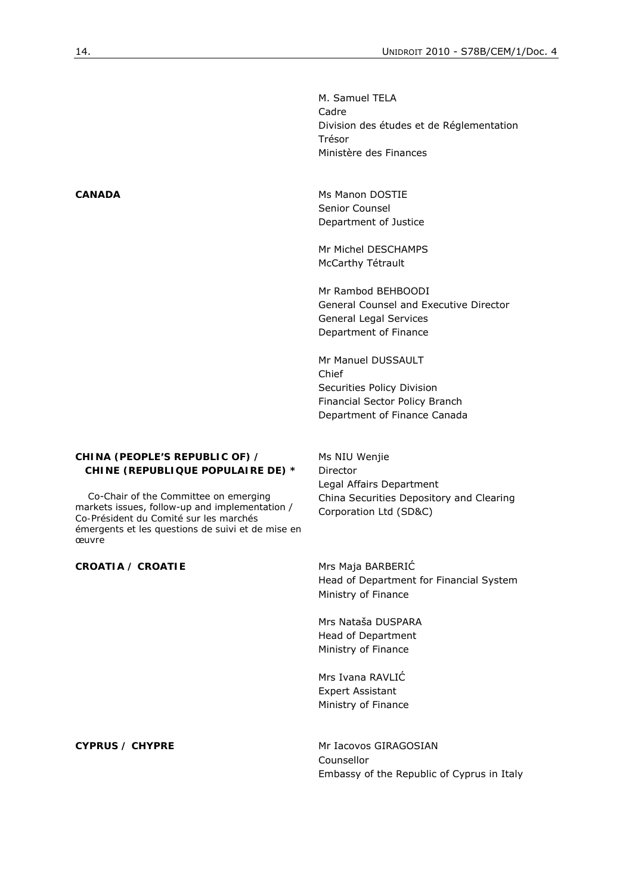Division des études et de Réglementation

| Trésor<br>Ministère des Finances                |
|-------------------------------------------------|
|                                                 |
| Ms Manon DOSTIE<br>Senior Counsel               |
| Department of Justice                           |
| Mr Michel DESCHAMPS                             |
| McCarthy Tétrault                               |
| Mr Rambod BEHBOODI                              |
| General Counsel and Executive Director          |
| General Legal Services<br>Department of Finance |
| Mr Manuel DUSSAULT                              |
| Chief                                           |
| Securities Policy Division                      |

M. Samuel TELA

Cadre

#### **CHINA (PEOPLE'S REPUBLIC OF) /** *CHINE (REPUBLIQUE POPULAIRE DE) \**

 Co-Chair of the Committee on emerging markets issues, follow-up and implementation / *Co-Président du Comité sur les marchés émergents et les questions de suivi et de mise en œuvre* 

Director Legal Affairs Department China Securities Depository and Clearing Corporation Ltd (SD&C)

Financial Sector Policy Branch Department of Finance Canada

Ms NIU Wenjie

**CROATIA /** *CROATIE* Mrs Maja BARBERIĆ Head of Department for Financial System Ministry of Finance

> Mrs Nataša DUSPARA Head of Department Ministry of Finance

Mrs Ivana RAVLIĆ Expert Assistant Ministry of Finance

**CYPRUS / CHYPRE** Mr Iacovos GIRAGOSIAN Counsellor Embassy of the Republic of Cyprus in Italy

CANADA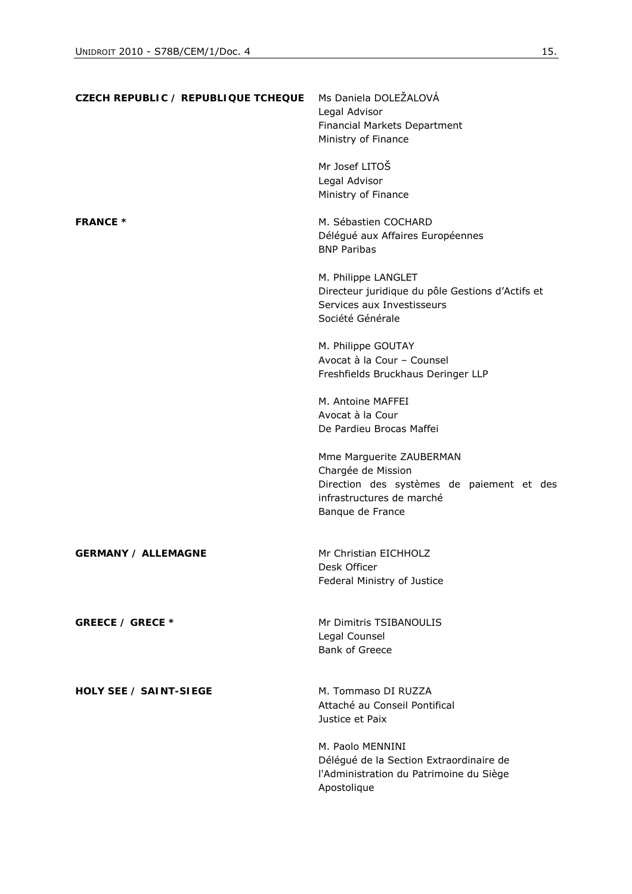| CZECH REPUBLIC / REPUBLIQUE TCHEQUE | Ms Daniela DOLEŽALOVÁ<br>Legal Advisor<br>Financial Markets Department<br>Ministry of Finance<br>Mr Josef LITOŠ                              |
|-------------------------------------|----------------------------------------------------------------------------------------------------------------------------------------------|
|                                     | Legal Advisor<br>Ministry of Finance                                                                                                         |
| <b>FRANCE *</b>                     | M. Sébastien COCHARD<br>Délégué aux Affaires Européennes<br><b>BNP Paribas</b>                                                               |
|                                     | M. Philippe LANGLET<br>Directeur juridique du pôle Gestions d'Actifs et<br>Services aux Investisseurs<br>Société Générale                    |
|                                     | M. Philippe GOUTAY<br>Avocat à la Cour - Counsel<br>Freshfields Bruckhaus Deringer LLP                                                       |
|                                     | M. Antoine MAFFEI<br>Avocat à la Cour<br>De Pardieu Brocas Maffei                                                                            |
|                                     | Mme Marguerite ZAUBERMAN<br>Chargée de Mission<br>Direction des systèmes de paiement et des<br>infrastructures de marché<br>Banque de France |
| <b>GERMANY / ALLEMAGNE</b>          | Mr Christian EICHHOLZ<br>Desk Officer<br>Federal Ministry of Justice                                                                         |
| GREECE / GRECE *                    | Mr Dimitris TSIBANOULIS<br>Legal Counsel<br><b>Bank of Greece</b>                                                                            |
| <b>HOLY SEE / SAINT-SIEGE</b>       | M. Tommaso DI RUZZA<br>Attaché au Conseil Pontifical<br>Justice et Paix                                                                      |
|                                     | M. Paolo MENNINI<br>Délégué de la Section Extraordinaire de<br>l'Administration du Patrimoine du Siège<br>Apostolique                        |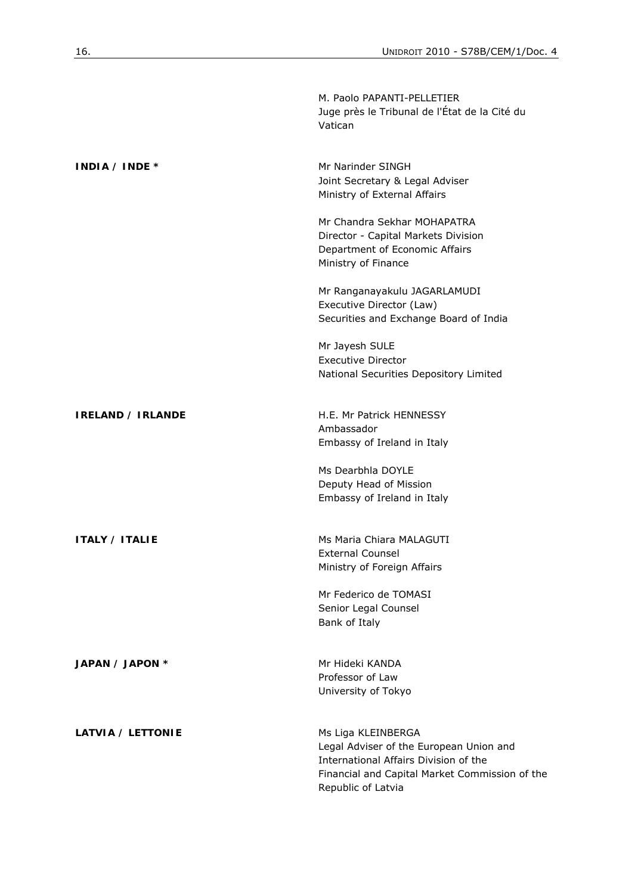|                          | M. Paolo PAPANTI-PELLETIER<br>Juge près le Tribunal de l'État de la Cité du<br>Vatican                                                                                         |
|--------------------------|--------------------------------------------------------------------------------------------------------------------------------------------------------------------------------|
| INDIA / <i>INDE</i> $*$  | Mr Narinder SINGH<br>Joint Secretary & Legal Adviser<br>Ministry of External Affairs                                                                                           |
|                          | Mr Chandra Sekhar MOHAPATRA<br>Director - Capital Markets Division<br>Department of Economic Affairs<br>Ministry of Finance                                                    |
|                          | Mr Ranganayakulu JAGARLAMUDI<br>Executive Director (Law)<br>Securities and Exchange Board of India                                                                             |
|                          | Mr Jayesh SULE<br><b>Executive Director</b><br>National Securities Depository Limited                                                                                          |
| <b>IRELAND / IRLANDE</b> | H.E. Mr Patrick HENNESSY<br>Ambassador<br>Embassy of Ireland in Italy                                                                                                          |
|                          | Ms Dearbhla DOYLE<br>Deputy Head of Mission<br>Embassy of Ireland in Italy                                                                                                     |
| <b>ITALY / ITALIE</b>    | Ms Maria Chiara MALAGUTI<br><b>External Counsel</b><br>Ministry of Foreign Affairs                                                                                             |
|                          | Mr Federico de TOMASI<br>Senior Legal Counsel<br>Bank of Italy                                                                                                                 |
| JAPAN / JAPON *          | Mr Hideki KANDA<br>Professor of Law<br>University of Tokyo                                                                                                                     |
| LATVIA / LETTONIE        | Ms Liga KLEINBERGA<br>Legal Adviser of the European Union and<br>International Affairs Division of the<br>Financial and Capital Market Commission of the<br>Republic of Latvia |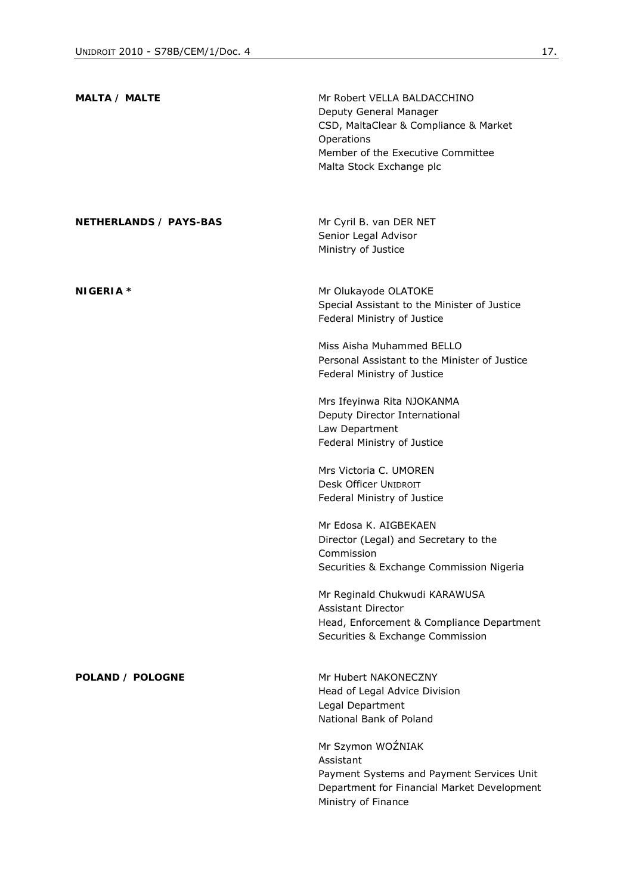| MALTA / MALTE          | Mr Robert VELLA BALDACCHINO<br>Deputy General Manager<br>CSD, MaltaClear & Compliance & Market<br>Operations<br>Member of the Executive Committee<br>Malta Stock Exchange plc |
|------------------------|-------------------------------------------------------------------------------------------------------------------------------------------------------------------------------|
| NETHERLANDS / PAYS-BAS | Mr Cyril B. van DER NET<br>Senior Legal Advisor<br>Ministry of Justice                                                                                                        |
| NIGERIA *              | Mr Olukayode OLATOKE<br>Special Assistant to the Minister of Justice<br>Federal Ministry of Justice                                                                           |
|                        | Miss Aisha Muhammed BELLO<br>Personal Assistant to the Minister of Justice<br>Federal Ministry of Justice                                                                     |
|                        | Mrs Ifeyinwa Rita NJOKANMA<br>Deputy Director International<br>Law Department<br>Federal Ministry of Justice                                                                  |
|                        | Mrs Victoria C. UMOREN<br><b>Desk Officer UNIDROIT</b><br>Federal Ministry of Justice                                                                                         |
|                        | Mr Edosa K. AIGBEKAEN<br>Director (Legal) and Secretary to the<br>Commission<br>Securities & Exchange Commission Nigeria                                                      |
|                        | Mr Reginald Chukwudi KARAWUSA<br>Assistant Director<br>Head, Enforcement & Compliance Department<br>Securities & Exchange Commission                                          |
| POLAND / POLOGNE       | Mr Hubert NAKONECZNY<br>Head of Legal Advice Division<br>Legal Department<br>National Bank of Poland                                                                          |
|                        | Mr Szymon WOŹNIAK<br>Assistant<br>Payment Systems and Payment Services Unit<br>Department for Financial Market Development<br>Ministry of Finance                             |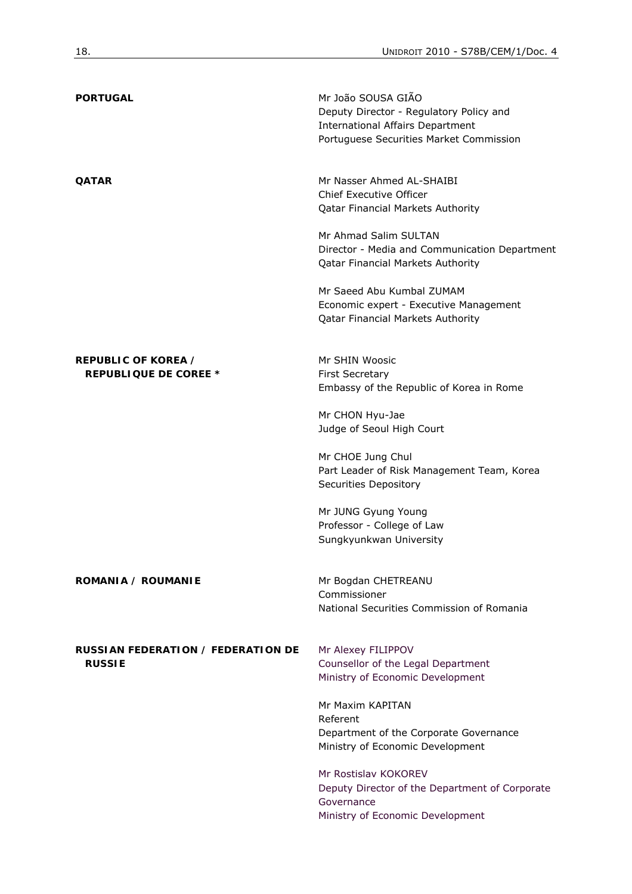| <b>PORTUGAL</b>                                     | Mr João SOUSA GIÃO<br>Deputy Director - Regulatory Policy and<br><b>International Affairs Department</b><br>Portuguese Securities Market Commission |
|-----------------------------------------------------|-----------------------------------------------------------------------------------------------------------------------------------------------------|
| <b>QATAR</b>                                        | Mr Nasser Ahmed AL-SHAIBI<br>Chief Executive Officer<br><b>Qatar Financial Markets Authority</b>                                                    |
|                                                     | Mr Ahmad Salim SULTAN<br>Director - Media and Communication Department<br><b>Qatar Financial Markets Authority</b>                                  |
|                                                     | Mr Saeed Abu Kumbal ZUMAM<br>Economic expert - Executive Management<br><b>Qatar Financial Markets Authority</b>                                     |
| REPUBLIC OF KOREA /<br><b>REPUBLIQUE DE COREE *</b> | Mr SHIN Woosic<br><b>First Secretary</b><br>Embassy of the Republic of Korea in Rome                                                                |
|                                                     | Mr CHON Hyu-Jae<br>Judge of Seoul High Court                                                                                                        |
|                                                     | Mr CHOE Jung Chul<br>Part Leader of Risk Management Team, Korea<br>Securities Depository                                                            |
|                                                     | Mr JUNG Gyung Young<br>Professor - College of Law<br>Sungkyunkwan University                                                                        |
| ROMANIA / ROUMANIE                                  | Mr Bogdan CHETREANU<br>Commissioner<br>National Securities Commission of Romania                                                                    |
| RUSSIAN FEDERATION / FEDERATION DE<br><b>RUSSIE</b> | Mr Alexey FILIPPOV<br>Counsellor of the Legal Department<br>Ministry of Economic Development                                                        |
|                                                     | Mr Maxim KAPITAN<br>Referent<br>Department of the Corporate Governance<br>Ministry of Economic Development                                          |
|                                                     | Mr Rostislav KOKOREV<br>Deputy Director of the Department of Corporate<br>Governance<br>Ministry of Economic Development                            |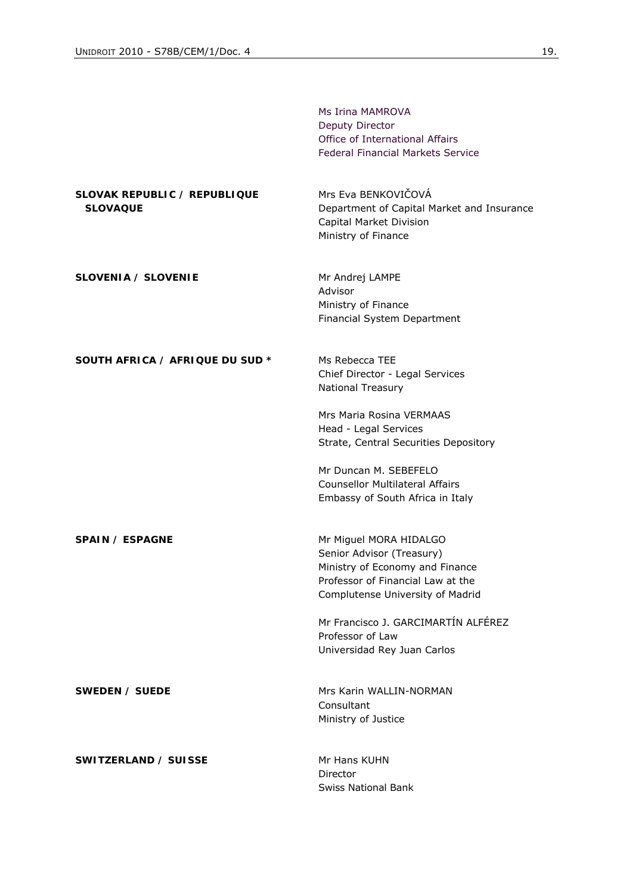|                                                        | Ms Irina MAMROVA<br>Deputy Director<br>Office of International Affairs<br><b>Federal Financial Markets Service</b>                                              |
|--------------------------------------------------------|-----------------------------------------------------------------------------------------------------------------------------------------------------------------|
| <b>SLOVAK REPUBLIC / REPUBLIQUE</b><br><b>SLOVAQUE</b> | Mrs Eva BENKOVIČOVÁ<br>Department of Capital Market and Insurance<br>Capital Market Division<br>Ministry of Finance                                             |
| SLOVENIA / SLOVENIE                                    | Mr Andrej LAMPE<br>Advisor<br>Ministry of Finance<br>Financial System Department                                                                                |
| SOUTH AFRICA / AFRIQUE DU SUD *                        | Ms Rebecca TEE<br>Chief Director - Legal Services<br>National Treasury                                                                                          |
|                                                        | Mrs Maria Rosina VERMAAS<br>Head - Legal Services<br>Strate, Central Securities Depository                                                                      |
|                                                        | Mr Duncan M. SEBEFELO<br><b>Counsellor Multilateral Affairs</b><br>Embassy of South Africa in Italy                                                             |
| SPAIN / ESPAGNE                                        | Mr Miguel MORA HIDALGO<br>Senior Advisor (Treasury)<br>Ministry of Economy and Finance<br>Professor of Financial Law at the<br>Complutense University of Madrid |
|                                                        | Mr Francisco J. GARCIMARTÍN ALFÉREZ<br>Professor of Law<br>Universidad Rey Juan Carlos                                                                          |
| SWEDEN / SUEDE                                         | Mrs Karin WALLIN-NORMAN<br>Consultant<br>Ministry of Justice                                                                                                    |
| SWITZERLAND / SUISSE                                   | Mr Hans KUHN<br>Director<br><b>Swiss National Bank</b>                                                                                                          |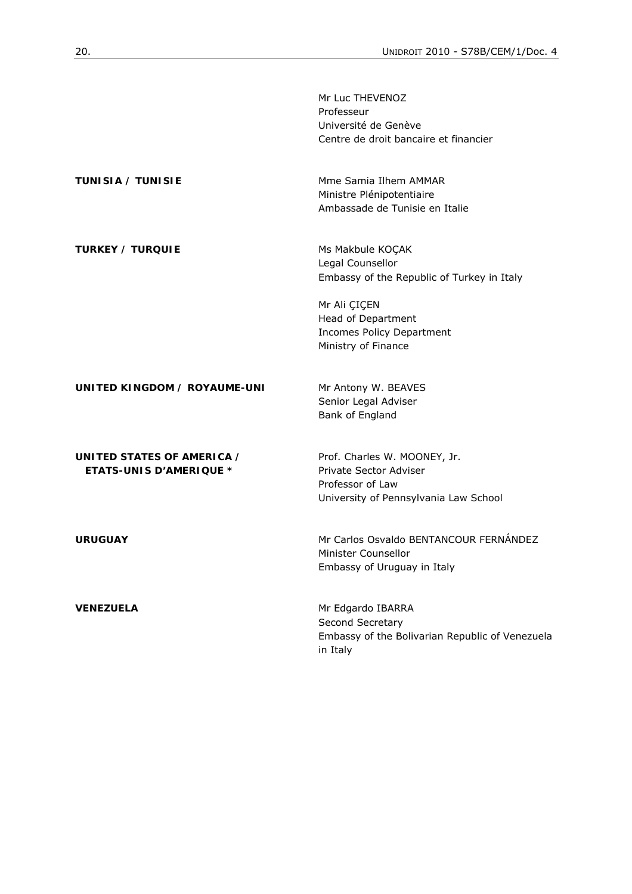|                                                              | Mr Luc THEVENOZ<br>Professeur<br>Université de Genève<br>Centre de droit bancaire et financier                                                                                      |
|--------------------------------------------------------------|-------------------------------------------------------------------------------------------------------------------------------------------------------------------------------------|
| <b>TUNISIA / TUNISIE</b>                                     | Mme Samia Ilhem AMMAR<br>Ministre Plénipotentiaire<br>Ambassade de Tunisie en Italie                                                                                                |
| <b>TURKEY / TURQUIE</b>                                      | Ms Makbule KOÇAK<br>Legal Counsellor<br>Embassy of the Republic of Turkey in Italy<br>Mr Ali ÇIÇEN<br>Head of Department<br><b>Incomes Policy Department</b><br>Ministry of Finance |
| UNITED KINGDOM / ROYAUME-UNI                                 | Mr Antony W. BEAVES<br>Senior Legal Adviser<br>Bank of England                                                                                                                      |
| UNITED STATES OF AMERICA /<br><b>ETATS-UNIS D'AMERIQUE *</b> | Prof. Charles W. MOONEY, Jr.<br>Private Sector Adviser<br>Professor of Law<br>University of Pennsylvania Law School                                                                 |
| <b>URUGUAY</b>                                               | Mr Carlos Osvaldo BENTANCOUR FERNÁNDEZ<br>Minister Counsellor<br>Embassy of Uruguay in Italy                                                                                        |
| <b>VENEZUELA</b>                                             | Mr Edgardo IBARRA<br>Second Secretary<br>Embassy of the Bolivarian Republic of Venezuela<br>in Italy                                                                                |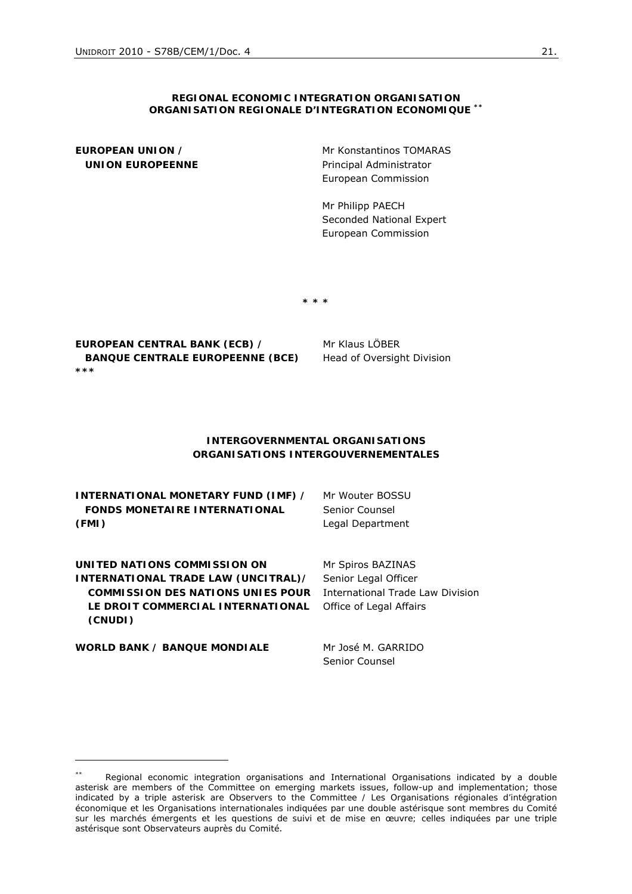#### **REGIONAL ECONOMIC INTEGRATION ORGANISATION**  *ORGANISATION REGIONALE D'INTEGRATION ECONOMIQUE \*\**

**EUROPEAN UNION /**   *UNION EUROPEENNE*  Mr Konstantinos TOMARAS Principal Administrator European Commission

Mr Philipp PAECH Seconded National Expert European Commission

**\* \* \*** 

**EUROPEAN CENTRAL BANK (ECB) /**   *BANQUE CENTRALE EUROPEENNE (BCE) \*\*\** 

Mr Klaus LÖBER Head of Oversight Division

#### **INTERGOVERNMENTAL ORGANISATIONS**  *ORGANISATIONS INTERGOUVERNEMENTALES*

| <b>INTERNATIONAL MONETARY FUND (IMF) /</b> | Mr Wouter BOSSU   |
|--------------------------------------------|-------------------|
| <b>FONDS MONETAIRE INTERNATIONAL</b>       | Senior Counsel    |
| (FMI)                                      | Legal Department  |
| UNITED NATIONS COMMISSION ON               | Mr Spiros BAZINAS |

**UNITED NATIONS COMMISSION ON INTERNATIONAL TRADE LAW (UNCITRAL)/**  *COMMISSION DES NATIONS UNIES POUR*  International Trade Law Division *LE DROIT COMMERCIAL INTERNATIONAL*  Office of Legal Affairs *(CNUDI)*

**WORLD BANK /** *BANQUE MONDIALE* Mr José M. GARRIDO

Senior Counsel

Senior Legal Officer

<sup>\*\*</sup> Regional economic integration organisations and International Organisations indicated by a double asterisk are members of the Committee on emerging markets issues, follow-up and implementation; those indicated by a triple *asterisk are Observers to the Committee / Les Organisations régionales d'intégration économique et les Organisations internationales indiquées par une double astérisque sont membres du Comité*  sur les marchés émergents et les questions de suivi et de mise en œuvre; celles indiquées par une triple astérisque sont Observateurs auprès du Comité.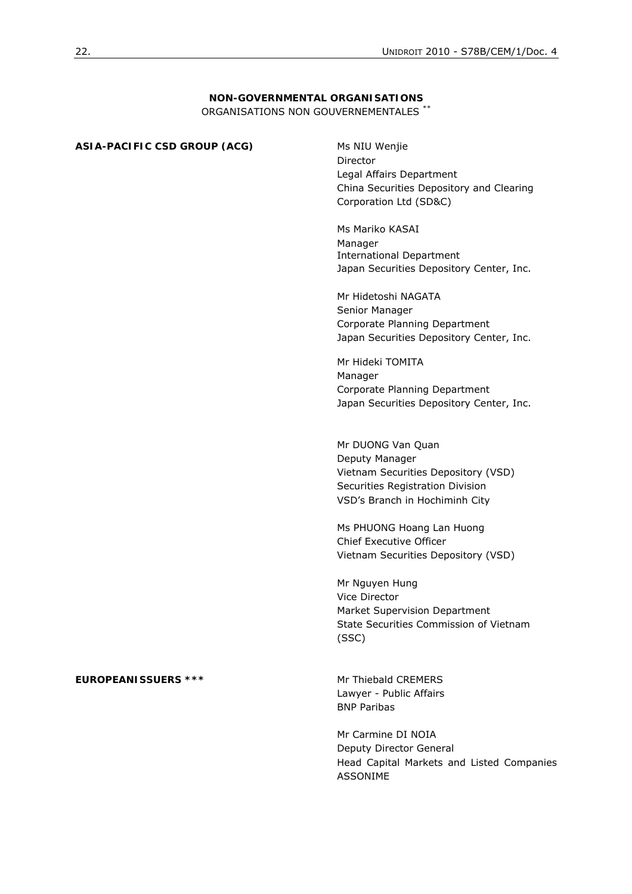# **NON-GOVERNMENTAL ORGANISATIONS**

ORGANISATIONS NON GOUVERNEMENTALES \*\*

| ASIA-PACIFIC CSD GROUP (ACG) | Ms NIU Wenjie<br>Director<br>Legal Affairs Department<br>China Securities Depository and Clearing<br>Corporation Ltd (SD&C)<br>Ms Mariko KASAI<br>Manager<br><b>International Department</b><br>Japan Securities Depository Center, Inc.<br>Mr Hidetoshi NAGATA<br>Senior Manager<br>Corporate Planning Department<br>Japan Securities Depository Center, Inc.<br>Mr Hideki TOMITA<br>Manager |
|------------------------------|-----------------------------------------------------------------------------------------------------------------------------------------------------------------------------------------------------------------------------------------------------------------------------------------------------------------------------------------------------------------------------------------------|
|                              | Corporate Planning Department<br>Japan Securities Depository Center, Inc.<br>Mr DUONG Van Quan<br>Deputy Manager<br>Vietnam Securities Depository (VSD)<br>Securities Registration Division<br>VSD's Branch in Hochiminh City                                                                                                                                                                 |
|                              | Ms PHUONG Hoang Lan Huong<br>Chief Executive Officer<br>Vietnam Securities Depository (VSD)<br>Mr Nguyen Hung<br>Vice Director<br>Market Supervision Department<br>State Securities Commission of Vietnam<br>(SSC)                                                                                                                                                                            |
| <b>EUROPEANISSUERS ***</b>   | Mr Thiebald CREMERS<br>Lawyer - Public Affairs<br><b>BNP Paribas</b><br>Mr Carmine DI NOIA<br>Deputy Director General<br>Head Capital Markets and Listed Companies<br><b>ASSONIME</b>                                                                                                                                                                                                         |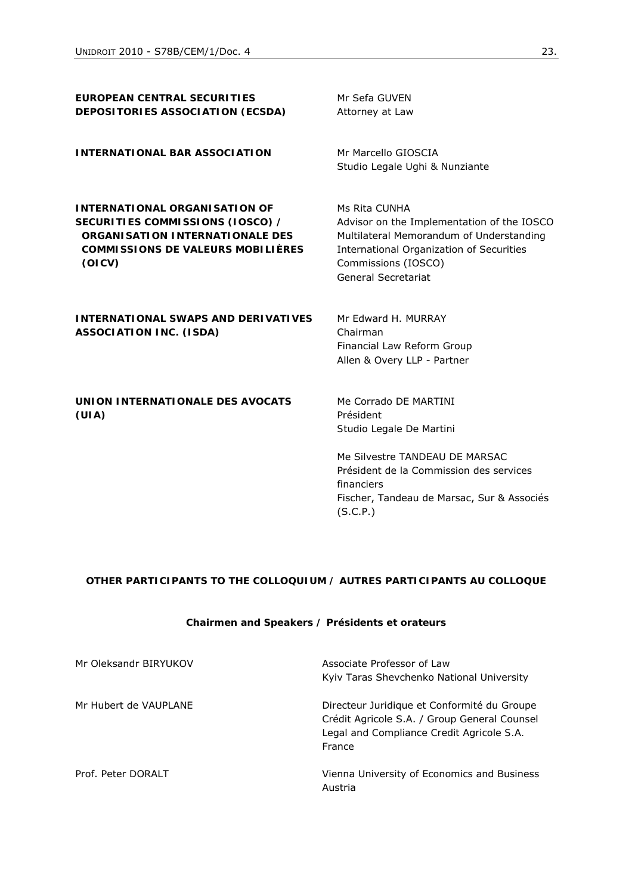| EUROPEAN CENTRAL SECURITIES<br>DEPOSITORIES ASSOCIATION (ECSDA)                                                                                                          | Mr Sefa GUVEN<br>Attorney at Law                                                                                                                                                                                    |
|--------------------------------------------------------------------------------------------------------------------------------------------------------------------------|---------------------------------------------------------------------------------------------------------------------------------------------------------------------------------------------------------------------|
| <b>INTERNATIONAL BAR ASSOCIATION</b>                                                                                                                                     | Mr Marcello GIOSCIA<br>Studio Legale Ughi & Nunziante                                                                                                                                                               |
| <b>INTERNATIONAL ORGANISATION OF</b><br>SECURITIES COMMISSIONS (IOSCO) /<br><b>ORGANISATION INTERNATIONALE DES</b><br><b>COMMISSIONS DE VALEURS MOBILIÈRES</b><br>(OICV) | Ms Rita CUNHA<br>Advisor on the Implementation of the IOSCO<br>Multilateral Memorandum of Understanding<br>International Organization of Securities<br>Commissions (IOSCO)<br><b>General Secretariat</b>            |
| <b>INTERNATIONAL SWAPS AND DERIVATIVES</b><br><b>ASSOCIATION INC. (ISDA)</b>                                                                                             | Mr Edward H. MURRAY<br>Chairman<br>Financial Law Reform Group<br>Allen & Overy LLP - Partner                                                                                                                        |
| UNION INTERNATIONALE DES AVOCATS<br>(UIA)                                                                                                                                | Me Corrado DE MARTINI<br>Président<br>Studio Legale De Martini<br>Me Silvestre TANDFAU DE MARSAC<br>Président de la Commission des services<br>financiers<br>Fischer, Tandeau de Marsac, Sur & Associés<br>(S.C.P.) |

#### **OTHER PARTICIPANTS TO THE COLLOQUIUM /** *AUTRES PARTICIPANTS AU COLLOQUE*

# **Chairmen and Speakers /** *Présidents et orateurs*

| Mr Oleksandr BIRYUKOV | Associate Professor of Law<br>Kyiv Taras Shevchenko National University                                                                            |
|-----------------------|----------------------------------------------------------------------------------------------------------------------------------------------------|
| Mr Hubert de VAUPLANE | Directeur Juridique et Conformité du Groupe<br>Crédit Agricole S.A. / Group General Counsel<br>Legal and Compliance Credit Agricole S.A.<br>France |
| Prof. Peter DORALT    | Vienna University of Economics and Business<br>Austria                                                                                             |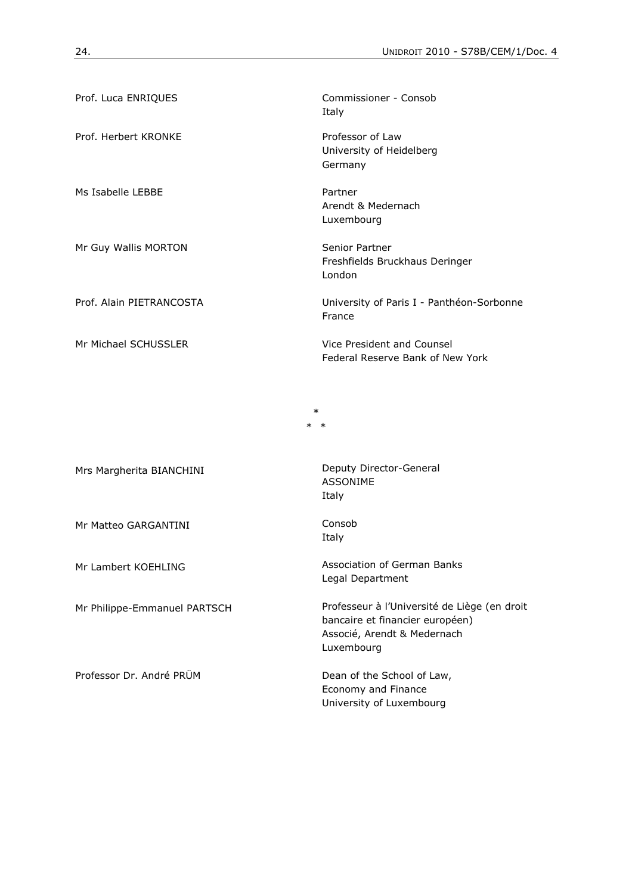| Prof. Luca ENRIQUES      | Commissioner - Consob<br>Italy                                 |
|--------------------------|----------------------------------------------------------------|
| Prof. Herbert KRONKE     | Professor of Law<br>University of Heidelberg<br>Germany        |
| Ms Isabelle LEBBE        | Partner<br>Arendt & Medernach<br>Luxembourg                    |
| Mr Guy Wallis MORTON     | Senior Partner<br>Freshfields Bruckhaus Deringer<br>London     |
| Prof. Alain PIETRANCOSTA | University of Paris I - Panthéon-Sorbonne<br>France            |
| Mr Michael SCHUSSLER     | Vice President and Counsel<br>Federal Reserve Bank of New York |

\*  $\star$ 

Mr Matteo GARGANTINI Consob

Professor Dr. André PRÜM Dean of the School of Law,

Mrs Margherita BIANCHINI Deputy Director-General ASSONIME Italy

Italy

Mr Lambert KOEHLING Association of German Banks Legal Department

Mr Philippe-Emmanuel PARTSCH Professeur à l'Université de Liège (en droit bancaire et financier européen) Associé, Arendt & Medernach Luxembourg

> Economy and Finance University of Luxembourg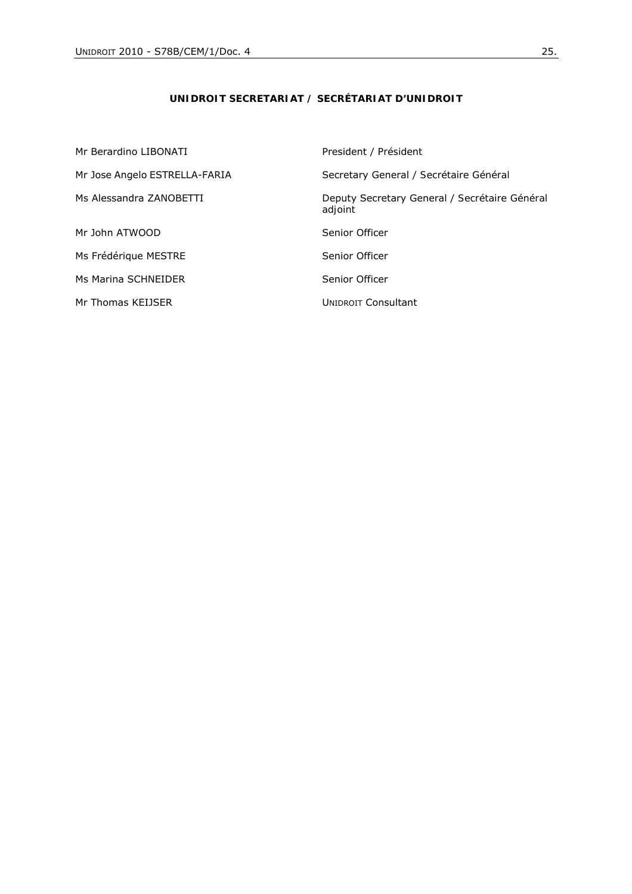# **UNIDROIT SECRETARIAT /** *SECRÉTARIAT D'UNIDROIT*

| Mr Berardino LIBONATI         | President / Président                                    |
|-------------------------------|----------------------------------------------------------|
| Mr Jose Angelo ESTRELLA-FARIA | Secretary General / Secrétaire Général                   |
| Ms Alessandra ZANOBETTI       | Deputy Secretary General / Secrétaire Général<br>adjoint |
| Mr John ATWOOD                | Senior Officer                                           |
| Ms Frédérique MESTRE          | Senior Officer                                           |
| Ms Marina SCHNEIDER           | Senior Officer                                           |
| Mr Thomas KEIJSER             | <b>UNIDROIT Consultant</b>                               |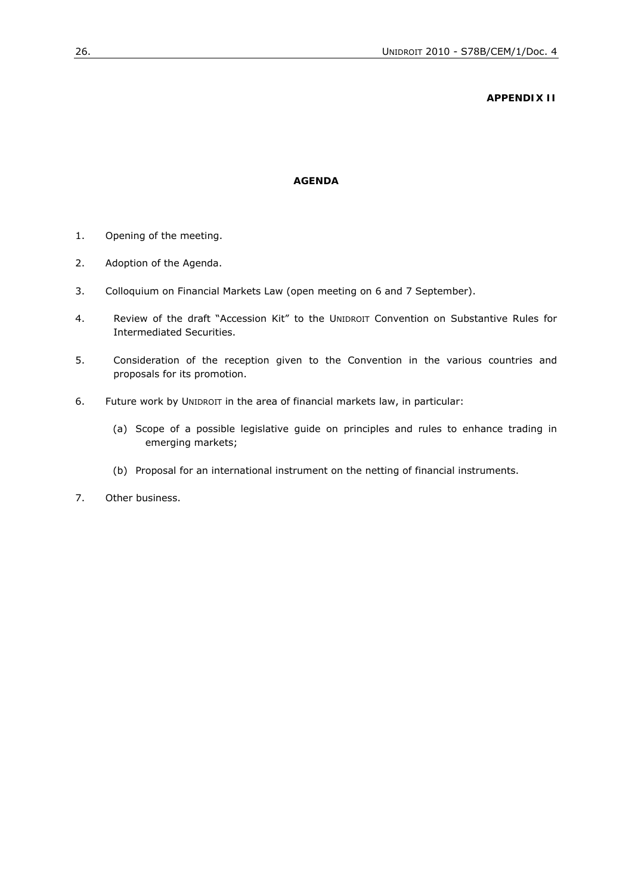#### **APPENDIX II**

#### **AGENDA**

- 1. Opening of the meeting.
- 2. Adoption of the Agenda.
- 3. Colloquium on Financial Markets Law (open meeting on 6 and 7 September).
- 4. Review of the draft "Accession Kit" to the UNIDROIT Convention on Substantive Rules for Intermediated Securities.
- 5. Consideration of the reception given to the Convention in the various countries and proposals for its promotion.
- 6. Future work by UNIDROIT in the area of financial markets law, in particular:
	- (a) Scope of a possible legislative guide on principles and rules to enhance trading in emerging markets;
	- (b) Proposal for an international instrument on the netting of financial instruments.
- 7. Other business.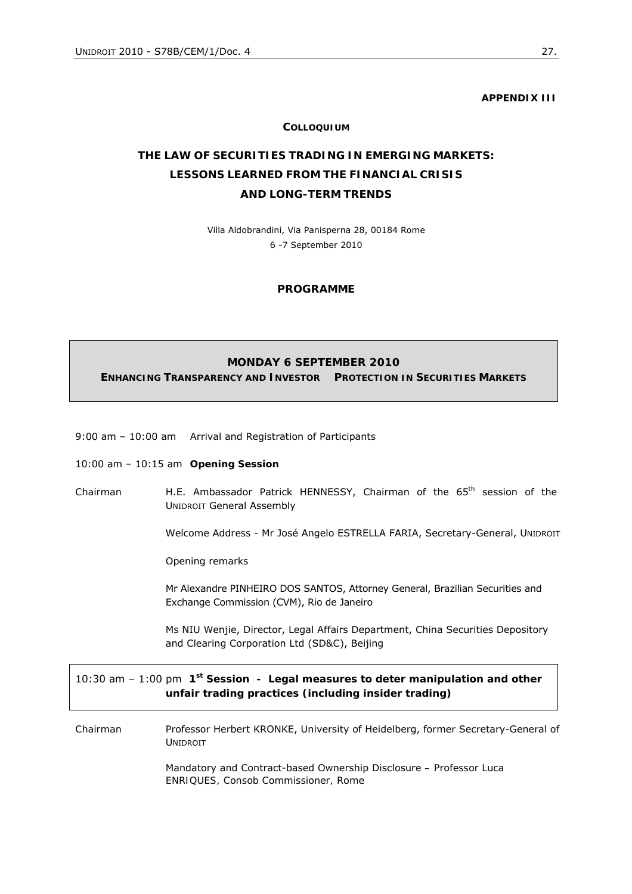**APPENDIX III** 

#### **COLLOQUIUM**

# **THE LAW OF SECURITIES TRADING IN EMERGING MARKETS: LESSONS LEARNED FROM THE FINANCIAL CRISIS AND LONG-TERM TRENDS**

Villa Aldobrandini, Via Panisperna 28, 00184 Rome 6 -7 September 2010

#### **PROGRAMME**

# **MONDAY 6 SEPTEMBER 2010 ENHANCING TRANSPARENCY AND INVESTOR PROTECTION IN SECURITIES MARKETS**

9:00 am – 10:00 am Arrival and Registration of Participants

#### 10:00 am – 10:15 am **Opening Session**

*Chairman* H.E. Ambassador Patrick HENNESSY, Chairman of the 65th session of the UNIDROIT General Assembly

*Welcome Address* - Mr José Angelo ESTRELLA FARIA, Secretary-General, UNIDROIT

*Opening remarks*

Mr Alexandre PINHEIRO DOS SANTOS, Attorney General, Brazilian Securities and Exchange Commission (CVM), Rio de Janeiro

 Ms NIU Wenjie, Director, Legal Affairs Department, China Securities Depository and Clearing Corporation Ltd (SD&C), Beijing

10:30 am – 1:00 pm **1st Session -** *Legal measures to deter manipulation and other unfair trading practices (including insider trading)* 

*Chairman* Professor Herbert KRONKE, University of Heidelberg, former Secretary-General of UNIDROIT

> Mandatory and Contract-based Ownership Disclosure *– Professor Luca ENRIQUES, Consob Commissioner, Rome*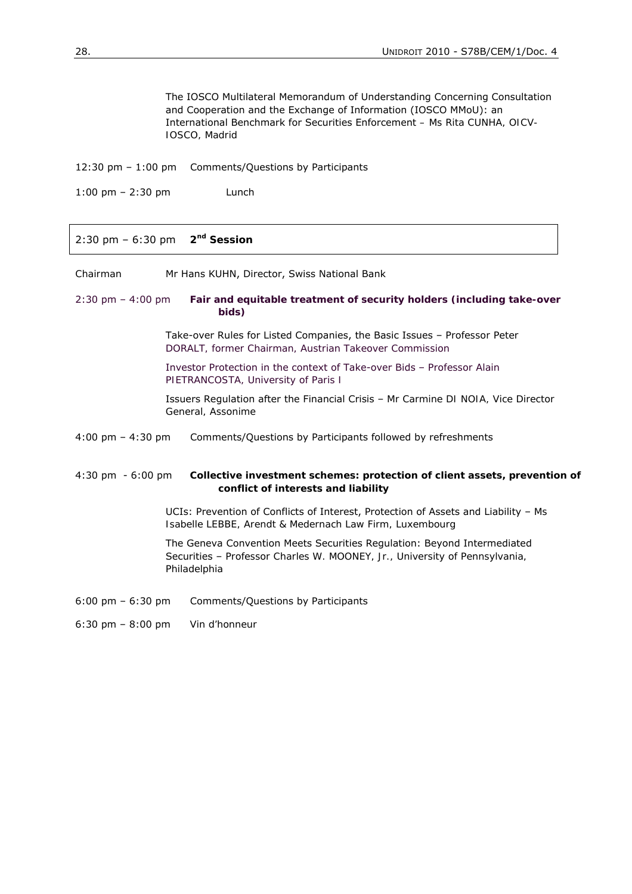The IOSCO Multilateral Memorandum of Understanding Concerning Consultation and Cooperation and the Exchange of Information (IOSCO MMoU): an International Benchmark for Securities Enforcement *– Ms Rita CUNHA, OICV-IOSCO, Madrid* 

12:30 pm – 1:00 pm Comments/Questions by Participants

1:00 pm – 2:30 pm Lunch

2:30 pm – 6:30 pm **2nd Session**

*Chairman* Mr Hans KUHN, Director, Swiss National Bank

2:30 pm – 4:00 pm *Fair and equitable treatment of security holders (including take-over bids)*

> Take-over Rules for Listed Companies, the Basic Issues – *Professor Peter DORALT, former Chairman, Austrian Takeover Commission*

 Investor Protection in the context of Take-over Bids – *Professor Alain PIETRANCOSTA, University of Paris I* 

 Issuers Regulation after the Financial Crisis – *Mr Carmine DI NOIA, Vice Director General, Assonime*

4:00 pm – 4:30 pm Comments/Questions by Participants followed by refreshments

4:30 pm - 6:00 pm *Collective investment schemes: protection of client assets, prevention of conflict of interests and liability*

> UCIs: Prevention of Conflicts of Interest, Protection of Assets and Liability – *Ms Isabelle LEBBE, Arendt & Medernach Law Firm, Luxembourg*

The Geneva Convention Meets Securities Regulation: Beyond Intermediated Securities – *Professor Charles W. MOONEY, Jr., University of Pennsylvania, Philadelphia* 

6:00 pm – 6:30 pm Comments/Questions by Participants

6:30 pm – 8:00 pm *Vin d'honneur*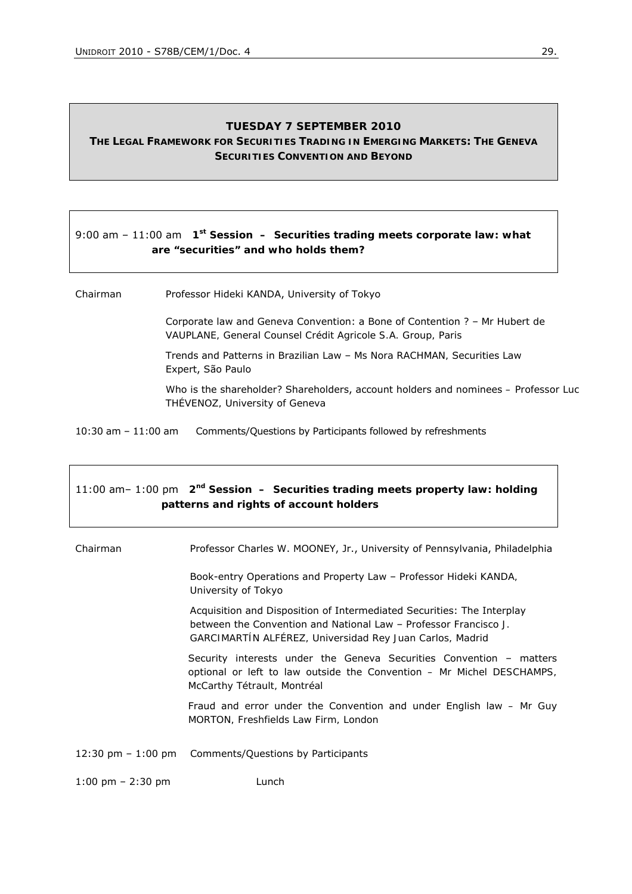#### **TUESDAY 7 SEPTEMBER 2010**

# **THE LEGAL FRAMEWORK FOR SECURITIES TRADING IN EMERGING MARKETS: THE GENEVA SECURITIES CONVENTION AND BEYOND**

# 9:00 am – 11:00 am **1st Session –** *Securities trading meets corporate law: what are "securities" and who holds them?*

*Chairman* Professor Hideki KANDA, University of Tokyo

 Corporate law and Geneva Convention: a Bone of Contention ? – *Mr Hubert de VAUPLANE, General Counsel Crédit Agricole S.A. Group, Paris*

 Trends and Patterns in Brazilian Law – *Ms Nora RACHMAN,* Securities Law Expert, São Paulo

 Who is the shareholder? Shareholders, account holders and nominees *– Professor Luc THÉVENOZ, University of Geneva*

10:30 am – 11:00 am Comments/Questions by Participants followed by refreshments

# 11:00 am– 1:00 pm **2nd Session –** *Securities trading meets property law: holding patterns and rights of account holders*

*Chairman* Professor Charles W. MOONEY, Jr., University of Pennsylvania, Philadelphia Book-entry Operations and Property Law – *Professor Hideki KANDA, University of Tokyo*  Acquisition and Disposition of Intermediated Securities: The Interplay between the Convention and National Law – *Professor Francisco J. GARCIMARTÍN ALFÉREZ, Universidad Rey Juan Carlos, Madrid*  Security interests under the Geneva Securities Convention – matters optional or left to law outside the Convention *– Mr Michel DESCHAMPS, McCarthy Tétrault, Montréal*  Fraud and error under the Convention and under English law *– Mr Guy MORTON, Freshfields Law Firm, London*  12:30 pm – 1:00 pm Comments/Questions by Participants 1:00 pm – 2:30 pm Lunch